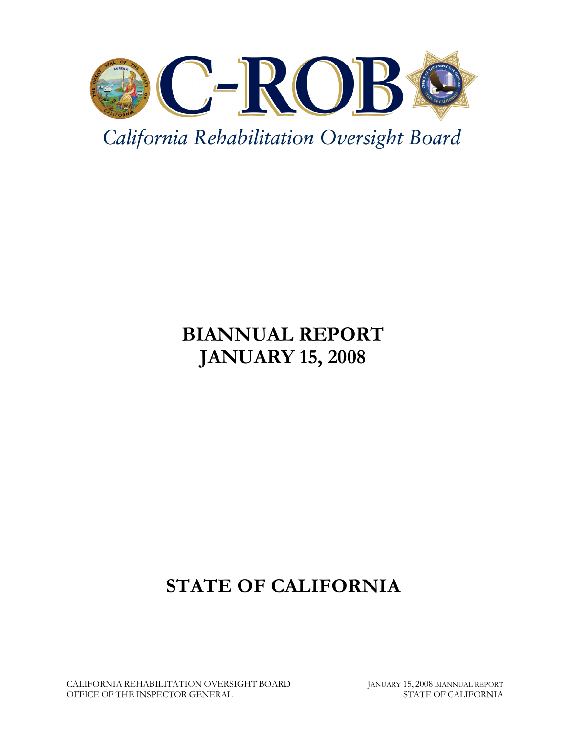

California Rehabilitation Oversight Board

# BIANNUAL REPORT JANUARY 15, 2008

# STATE OF CALIFORNIA

CALIFORNIA REHABILITATION OVERSIGHT BOARD JANUARY 15, 2008 BIANNUAL REPORT OFFICE OF THE INSPECTOR GENERAL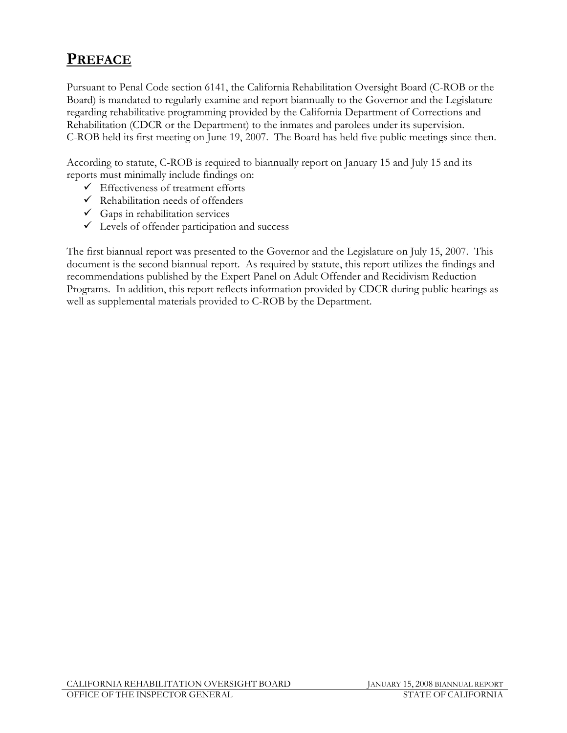## PREFACE

Pursuant to Penal Code section 6141, the California Rehabilitation Oversight Board (C-ROB or the Board) is mandated to regularly examine and report biannually to the Governor and the Legislature regarding rehabilitative programming provided by the California Department of Corrections and Rehabilitation (CDCR or the Department) to the inmates and parolees under its supervision. C-ROB held its first meeting on June 19, 2007. The Board has held five public meetings since then.

According to statute, C-ROB is required to biannually report on January 15 and July 15 and its reports must minimally include findings on:

- $\checkmark$  Effectiveness of treatment efforts
- $\checkmark$  Rehabilitation needs of offenders
- $\checkmark$  Gaps in rehabilitation services
- $\checkmark$  Levels of offender participation and success

The first biannual report was presented to the Governor and the Legislature on July 15, 2007. This document is the second biannual report. As required by statute, this report utilizes the findings and recommendations published by the Expert Panel on Adult Offender and Recidivism Reduction Programs. In addition, this report reflects information provided by CDCR during public hearings as well as supplemental materials provided to C-ROB by the Department.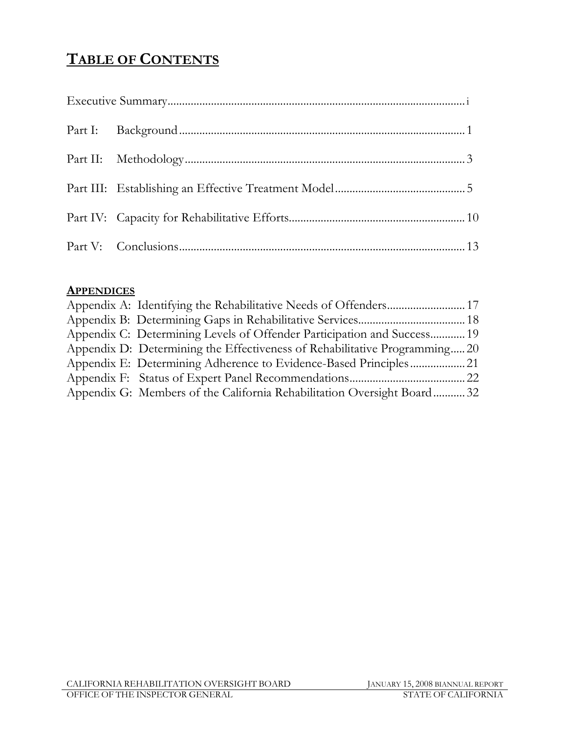## TABLE OF CONTENTS

### **APPENDICES**

| Appendix C: Determining Levels of Offender Participation and Success 19   |  |
|---------------------------------------------------------------------------|--|
| Appendix D: Determining the Effectiveness of Rehabilitative Programming20 |  |
|                                                                           |  |
|                                                                           |  |
| Appendix G: Members of the California Rehabilitation Oversight Board 32   |  |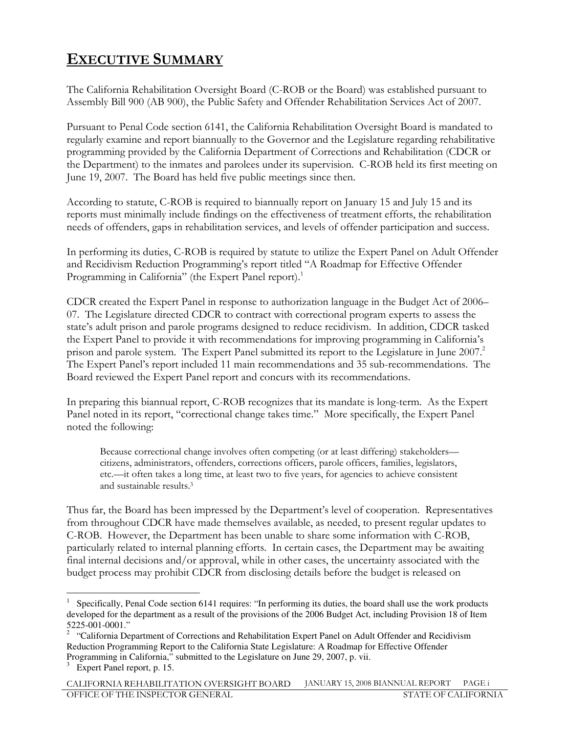## EXECUTIVE SUMMARY

The California Rehabilitation Oversight Board (C-ROB or the Board) was established pursuant to Assembly Bill 900 (AB 900), the Public Safety and Offender Rehabilitation Services Act of 2007.

Pursuant to Penal Code section 6141, the California Rehabilitation Oversight Board is mandated to regularly examine and report biannually to the Governor and the Legislature regarding rehabilitative programming provided by the California Department of Corrections and Rehabilitation (CDCR or the Department) to the inmates and parolees under its supervision. C-ROB held its first meeting on June 19, 2007. The Board has held five public meetings since then.

According to statute, C-ROB is required to biannually report on January 15 and July 15 and its reports must minimally include findings on the effectiveness of treatment efforts, the rehabilitation needs of offenders, gaps in rehabilitation services, and levels of offender participation and success.

In performing its duties, C-ROB is required by statute to utilize the Expert Panel on Adult Offender and Recidivism Reduction Programming's report titled "A Roadmap for Effective Offender Programming in California" (the Expert Panel report).<sup>1</sup>

CDCR created the Expert Panel in response to authorization language in the Budget Act of 2006– 07. The Legislature directed CDCR to contract with correctional program experts to assess the state's adult prison and parole programs designed to reduce recidivism. In addition, CDCR tasked the Expert Panel to provide it with recommendations for improving programming in California's prison and parole system. The Expert Panel submitted its report to the Legislature in June 2007.<sup>2</sup> The Expert Panel's report included 11 main recommendations and 35 sub-recommendations. The Board reviewed the Expert Panel report and concurs with its recommendations.

In preparing this biannual report, C-ROB recognizes that its mandate is long-term. As the Expert Panel noted in its report, "correctional change takes time." More specifically, the Expert Panel noted the following:

Because correctional change involves often competing (or at least differing) stakeholders citizens, administrators, offenders, corrections officers, parole officers, families, legislators, etc.—it often takes a long time, at least two to five years, for agencies to achieve consistent and sustainable results.<sup>3</sup>

Thus far, the Board has been impressed by the Department's level of cooperation. Representatives from throughout CDCR have made themselves available, as needed, to present regular updates to C-ROB. However, the Department has been unable to share some information with C-ROB, particularly related to internal planning efforts. In certain cases, the Department may be awaiting final internal decisions and/or approval, while in other cases, the uncertainty associated with the budget process may prohibit CDCR from disclosing details before the budget is released on

 $\overline{a}$ 1 Specifically, Penal Code section 6141 requires: "In performing its duties, the board shall use the work products developed for the department as a result of the provisions of the 2006 Budget Act, including Provision 18 of Item 5225-001-0001."

<sup>&</sup>lt;sup>2</sup> "California Department of Corrections and Rehabilitation Expert Panel on Adult Offender and Recidivism Reduction Programming Report to the California State Legislature: A Roadmap for Effective Offender Programming in California," submitted to the Legislature on June 29, 2007, p. vii.

<sup>&</sup>lt;sup>3</sup> Expert Panel report, p. 15.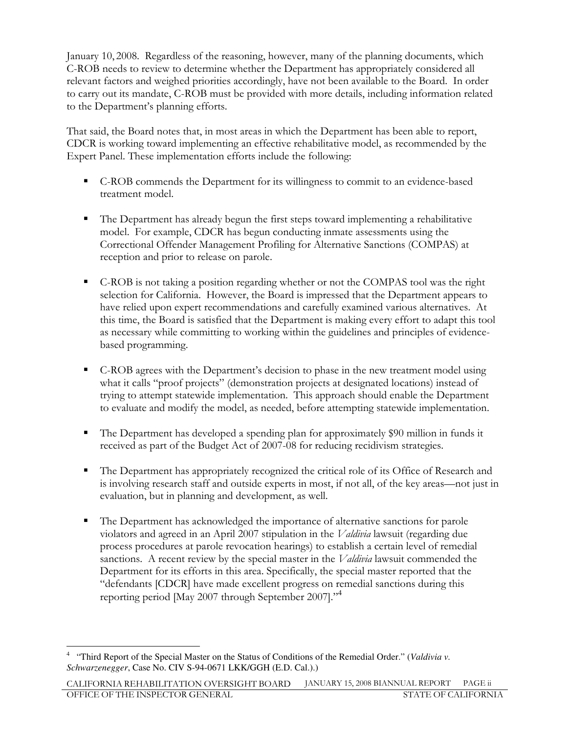January 10, 2008. Regardless of the reasoning, however, many of the planning documents, which C-ROB needs to review to determine whether the Department has appropriately considered all relevant factors and weighed priorities accordingly, have not been available to the Board. In order to carry out its mandate, C-ROB must be provided with more details, including information related to the Department's planning efforts.

That said, the Board notes that, in most areas in which the Department has been able to report, CDCR is working toward implementing an effective rehabilitative model, as recommended by the Expert Panel. These implementation efforts include the following:

- C-ROB commends the Department for its willingness to commit to an evidence-based treatment model.
- - The Department has already begun the first steps toward implementing a rehabilitative model. For example, CDCR has begun conducting inmate assessments using the Correctional Offender Management Profiling for Alternative Sanctions (COMPAS) at reception and prior to release on parole.
- C-ROB is not taking a position regarding whether or not the COMPAS tool was the right selection for California. However, the Board is impressed that the Department appears to have relied upon expert recommendations and carefully examined various alternatives. At this time, the Board is satisfied that the Department is making every effort to adapt this tool as necessary while committing to working within the guidelines and principles of evidencebased programming.
- C-ROB agrees with the Department's decision to phase in the new treatment model using what it calls "proof projects" (demonstration projects at designated locations) instead of trying to attempt statewide implementation. This approach should enable the Department to evaluate and modify the model, as needed, before attempting statewide implementation.
- - The Department has developed a spending plan for approximately \$90 million in funds it received as part of the Budget Act of 2007-08 for reducing recidivism strategies.
- - The Department has appropriately recognized the critical role of its Office of Research and is involving research staff and outside experts in most, if not all, of the key areas—not just in evaluation, but in planning and development, as well.
- - The Department has acknowledged the importance of alternative sanctions for parole violators and agreed in an April 2007 stipulation in the Valdivia lawsuit (regarding due process procedures at parole revocation hearings) to establish a certain level of remedial sanctions. A recent review by the special master in the *Valdivia* lawsuit commended the Department for its efforts in this area. Specifically, the special master reported that the "defendants [CDCR] have made excellent progress on remedial sanctions during this reporting period [May 2007 through September 2007]." 4

 $\overline{a}$ 4 "Third Report of the Special Master on the Status of Conditions of the Remedial Order." (*Valdivia v. Schwarzenegger*, Case No. CIV S-94-0671 LKK/GGH (E.D. Cal.).)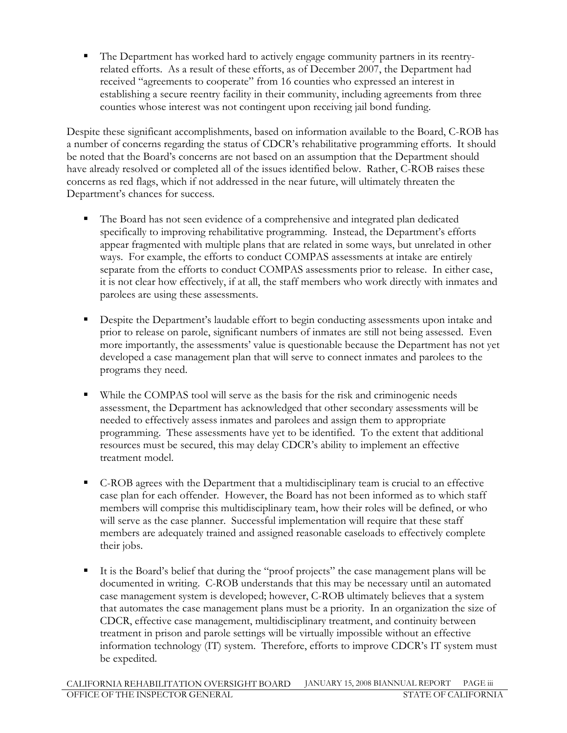- The Department has worked hard to actively engage community partners in its reentryrelated efforts. As a result of these efforts, as of December 2007, the Department had received "agreements to cooperate" from 16 counties who expressed an interest in establishing a secure reentry facility in their community, including agreements from three counties whose interest was not contingent upon receiving jail bond funding.

Despite these significant accomplishments, based on information available to the Board, C-ROB has a number of concerns regarding the status of CDCR's rehabilitative programming efforts. It should be noted that the Board's concerns are not based on an assumption that the Department should have already resolved or completed all of the issues identified below. Rather, C-ROB raises these concerns as red flags, which if not addressed in the near future, will ultimately threaten the Department's chances for success.

- - The Board has not seen evidence of a comprehensive and integrated plan dedicated specifically to improving rehabilitative programming. Instead, the Department's efforts appear fragmented with multiple plans that are related in some ways, but unrelated in other ways. For example, the efforts to conduct COMPAS assessments at intake are entirely separate from the efforts to conduct COMPAS assessments prior to release. In either case, it is not clear how effectively, if at all, the staff members who work directly with inmates and parolees are using these assessments.
- - Despite the Department's laudable effort to begin conducting assessments upon intake and prior to release on parole, significant numbers of inmates are still not being assessed. Even more importantly, the assessments' value is questionable because the Department has not yet developed a case management plan that will serve to connect inmates and parolees to the programs they need.
- - While the COMPAS tool will serve as the basis for the risk and criminogenic needs assessment, the Department has acknowledged that other secondary assessments will be needed to effectively assess inmates and parolees and assign them to appropriate programming. These assessments have yet to be identified. To the extent that additional resources must be secured, this may delay CDCR's ability to implement an effective treatment model.
- - C-ROB agrees with the Department that a multidisciplinary team is crucial to an effective case plan for each offender. However, the Board has not been informed as to which staff members will comprise this multidisciplinary team, how their roles will be defined, or who will serve as the case planner. Successful implementation will require that these staff members are adequately trained and assigned reasonable caseloads to effectively complete their jobs.
- - It is the Board's belief that during the "proof projects" the case management plans will be documented in writing. C-ROB understands that this may be necessary until an automated case management system is developed; however, C-ROB ultimately believes that a system that automates the case management plans must be a priority. In an organization the size of CDCR, effective case management, multidisciplinary treatment, and continuity between treatment in prison and parole settings will be virtually impossible without an effective information technology (IT) system. Therefore, efforts to improve CDCR's IT system must be expedited.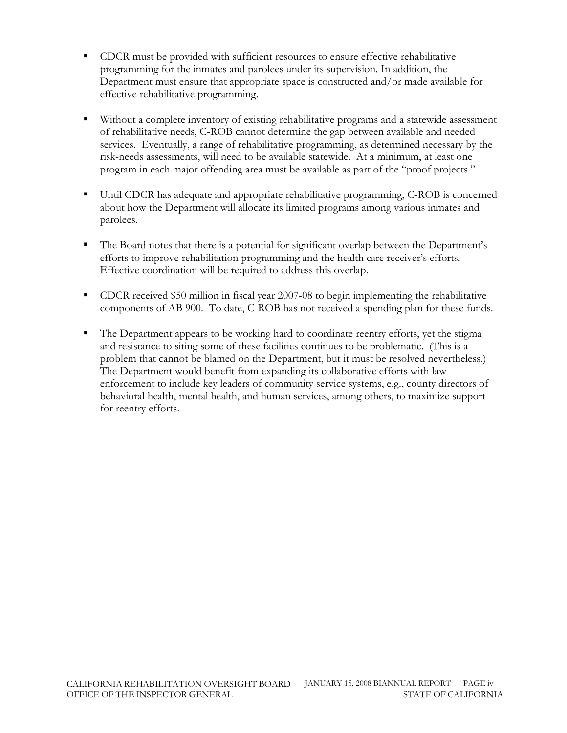- - CDCR must be provided with sufficient resources to ensure effective rehabilitative programming for the inmates and parolees under its supervision. In addition, the Department must ensure that appropriate space is constructed and/or made available for effective rehabilitative programming.
- - Without a complete inventory of existing rehabilitative programs and a statewide assessment of rehabilitative needs, C-ROB cannot determine the gap between available and needed services. Eventually, a range of rehabilitative programming, as determined necessary by the risk-needs assessments, will need to be available statewide. At a minimum, at least one program in each major offending area must be available as part of the "proof projects."
- - Until CDCR has adequate and appropriate rehabilitative programming, C-ROB is concerned about how the Department will allocate its limited programs among various inmates and parolees.
- - The Board notes that there is a potential for significant overlap between the Department's efforts to improve rehabilitation programming and the health care receiver's efforts. Effective coordination will be required to address this overlap.
- - CDCR received \$50 million in fiscal year 2007-08 to begin implementing the rehabilitative components of AB 900. To date, C-ROB has not received a spending plan for these funds.
- - The Department appears to be working hard to coordinate reentry efforts, yet the stigma and resistance to siting some of these facilities continues to be problematic. (This is a problem that cannot be blamed on the Department, but it must be resolved nevertheless.) The Department would benefit from expanding its collaborative efforts with law enforcement to include key leaders of community service systems, e.g., county directors of behavioral health, mental health, and human services, among others, to maximize support for reentry efforts.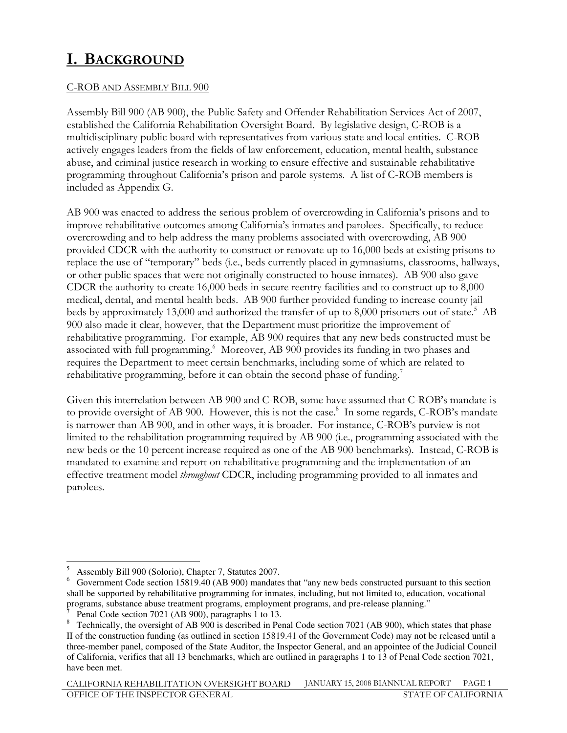## I. BACKGROUND

### C-ROB AND ASSEMBLY BILL 900

Assembly Bill 900 (AB 900), the Public Safety and Offender Rehabilitation Services Act of 2007, established the California Rehabilitation Oversight Board. By legislative design, C-ROB is a multidisciplinary public board with representatives from various state and local entities. C-ROB actively engages leaders from the fields of law enforcement, education, mental health, substance abuse, and criminal justice research in working to ensure effective and sustainable rehabilitative programming throughout California's prison and parole systems. A list of C-ROB members is included as Appendix G.

AB 900 was enacted to address the serious problem of overcrowding in California's prisons and to improve rehabilitative outcomes among California's inmates and parolees. Specifically, to reduce overcrowding and to help address the many problems associated with overcrowding, AB 900 provided CDCR with the authority to construct or renovate up to 16,000 beds at existing prisons to replace the use of "temporary" beds (i.e., beds currently placed in gymnasiums, classrooms, hallways, or other public spaces that were not originally constructed to house inmates). AB 900 also gave CDCR the authority to create 16,000 beds in secure reentry facilities and to construct up to 8,000 medical, dental, and mental health beds. AB 900 further provided funding to increase county jail beds by approximately 13,000 and authorized the transfer of up to 8,000 prisoners out of state.<sup>5</sup> AB 900 also made it clear, however, that the Department must prioritize the improvement of rehabilitative programming. For example, AB 900 requires that any new beds constructed must be associated with full programming.<sup>6</sup> Moreover, AB 900 provides its funding in two phases and requires the Department to meet certain benchmarks, including some of which are related to rehabilitative programming, before it can obtain the second phase of funding.<sup>7</sup>

Given this interrelation between AB 900 and C-ROB, some have assumed that C-ROB's mandate is to provide oversight of AB 900. However, this is not the case.<sup>8</sup> In some regards, C-ROB's mandate is narrower than AB 900, and in other ways, it is broader. For instance, C-ROB's purview is not limited to the rehabilitation programming required by AB 900 (i.e., programming associated with the new beds or the 10 percent increase required as one of the AB 900 benchmarks). Instead, C-ROB is mandated to examine and report on rehabilitative programming and the implementation of an effective treatment model *throughout* CDCR, including programming provided to all inmates and parolees.

CALIFORNIA REHABILITATION OVERSIGHT BOARD JANUARY 15, 2008 BIANNUAL REPORT PAGE 1<br>OFFICE OF THE INSPECTOR GENERAL OFFICE OF THE INSPECTOR GENERAL

 5 Assembly Bill 900 (Solorio), Chapter 7, Statutes 2007.

<sup>6</sup> Government Code section 15819.40 (AB 900) mandates that "any new beds constructed pursuant to this section shall be supported by rehabilitative programming for inmates, including, but not limited to, education, vocational programs, substance abuse treatment programs, employment programs, and pre-release planning."

<sup>7</sup> Penal Code section 7021 (AB 900), paragraphs 1 to 13.

 $8$  Technically, the oversight of AB 900 is described in Penal Code section 7021 (AB 900), which states that phase II of the construction funding (as outlined in section 15819.41 of the Government Code) may not be released until a three-member panel, composed of the State Auditor, the Inspector General, and an appointee of the Judicial Council of California, verifies that all 13 benchmarks, which are outlined in paragraphs 1 to 13 of Penal Code section 7021, have been met.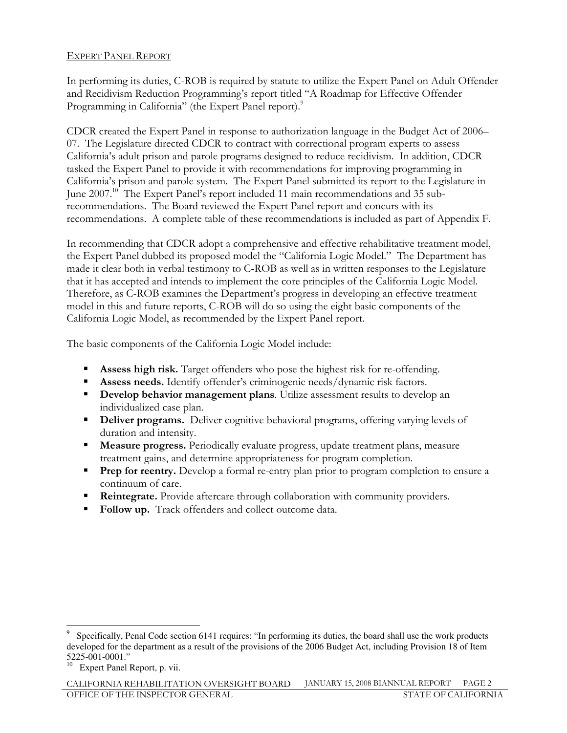#### EXPERT PANEL REPORT

In performing its duties, C-ROB is required by statute to utilize the Expert Panel on Adult Offender and Recidivism Reduction Programming's report titled "A Roadmap for Effective Offender Programming in California" (the Expert Panel report).<sup>9</sup>

CDCR created the Expert Panel in response to authorization language in the Budget Act of 2006– 07. The Legislature directed CDCR to contract with correctional program experts to assess California's adult prison and parole programs designed to reduce recidivism. In addition, CDCR tasked the Expert Panel to provide it with recommendations for improving programming in California's prison and parole system. The Expert Panel submitted its report to the Legislature in June 2007.<sup>10</sup> The Expert Panel's report included 11 main recommendations and 35 subrecommendations. The Board reviewed the Expert Panel report and concurs with its recommendations. A complete table of these recommendations is included as part of Appendix F.

In recommending that CDCR adopt a comprehensive and effective rehabilitative treatment model, the Expert Panel dubbed its proposed model the "California Logic Model." The Department has made it clear both in verbal testimony to C-ROB as well as in written responses to the Legislature that it has accepted and intends to implement the core principles of the California Logic Model. Therefore, as C-ROB examines the Department's progress in developing an effective treatment model in this and future reports, C-ROB will do so using the eight basic components of the California Logic Model, as recommended by the Expert Panel report.

The basic components of the California Logic Model include:

- **Assess high risk.** Target offenders who pose the highest risk for re-offending.
- **Assess needs.** Identify offender's criminogenic needs/dynamic risk factors.
- **Develop behavior management plans**. Utilize assessment results to develop an individualized case plan.
- **Deliver programs.** Deliver cognitive behavioral programs, offering varying levels of duration and intensity.
- - Measure progress. Periodically evaluate progress, update treatment plans, measure treatment gains, and determine appropriateness for program completion.
- **Prep for reentry.** Develop a formal re-entry plan prior to program completion to ensure a continuum of care.
- **Reintegrate.** Provide aftercare through collaboration with community providers.
- -Follow up. Track offenders and collect outcome data.

 $\overline{a}$ 9 Specifically, Penal Code section 6141 requires: "In performing its duties, the board shall use the work products developed for the department as a result of the provisions of the 2006 Budget Act, including Provision 18 of Item 5225-001-0001."

<sup>&</sup>lt;sup>10</sup> Expert Panel Report, p. vii.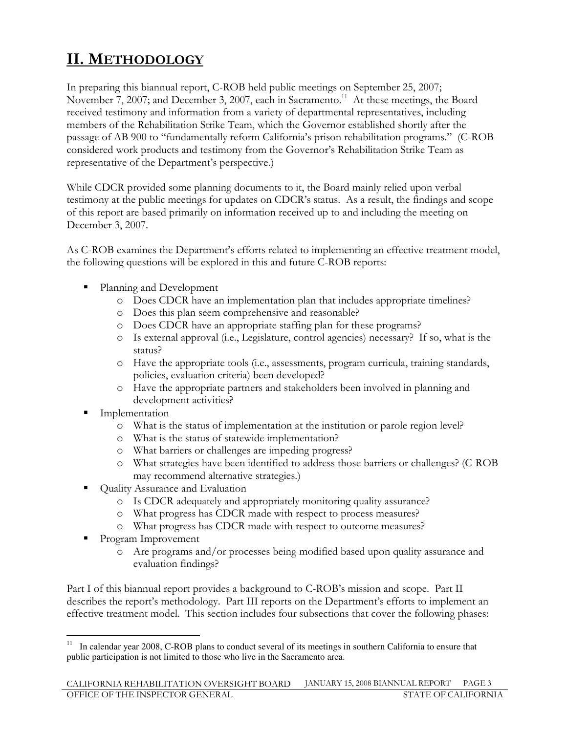## II. METHODOLOGY

In preparing this biannual report, C-ROB held public meetings on September 25, 2007; November 7, 2007; and December 3, 2007, each in Sacramento.<sup>11</sup> At these meetings, the Board received testimony and information from a variety of departmental representatives, including members of the Rehabilitation Strike Team, which the Governor established shortly after the passage of AB 900 to "fundamentally reform California's prison rehabilitation programs." (C-ROB considered work products and testimony from the Governor's Rehabilitation Strike Team as representative of the Department's perspective.)

While CDCR provided some planning documents to it, the Board mainly relied upon verbal testimony at the public meetings for updates on CDCR's status. As a result, the findings and scope of this report are based primarily on information received up to and including the meeting on December 3, 2007.

As C-ROB examines the Department's efforts related to implementing an effective treatment model, the following questions will be explored in this and future C-ROB reports:

- **Planning and Development** 
	- o Does CDCR have an implementation plan that includes appropriate timelines?
	- o Does this plan seem comprehensive and reasonable?
	- o Does CDCR have an appropriate staffing plan for these programs?
	- o Is external approval (i.e., Legislature, control agencies) necessary? If so, what is the status?
	- o Have the appropriate tools (i.e., assessments, program curricula, training standards, policies, evaluation criteria) been developed?
	- o Have the appropriate partners and stakeholders been involved in planning and development activities?
- - Implementation
	- o What is the status of implementation at the institution or parole region level?
	- o What is the status of statewide implementation?
	- o What barriers or challenges are impeding progress?
	- o What strategies have been identified to address those barriers or challenges? (C-ROB may recommend alternative strategies.)
- - Quality Assurance and Evaluation
	- o Is CDCR adequately and appropriately monitoring quality assurance?
	- o What progress has CDCR made with respect to process measures?
	- o What progress has CDCR made with respect to outcome measures?
- - Program Improvement
	- o Are programs and/or processes being modified based upon quality assurance and evaluation findings?

Part I of this biannual report provides a background to C-ROB's mission and scope. Part II describes the report's methodology. Part III reports on the Department's efforts to implement an effective treatment model. This section includes four subsections that cover the following phases:

 $\overline{a}$ <sup>11</sup> In calendar year 2008, C-ROB plans to conduct several of its meetings in southern California to ensure that public participation is not limited to those who live in the Sacramento area.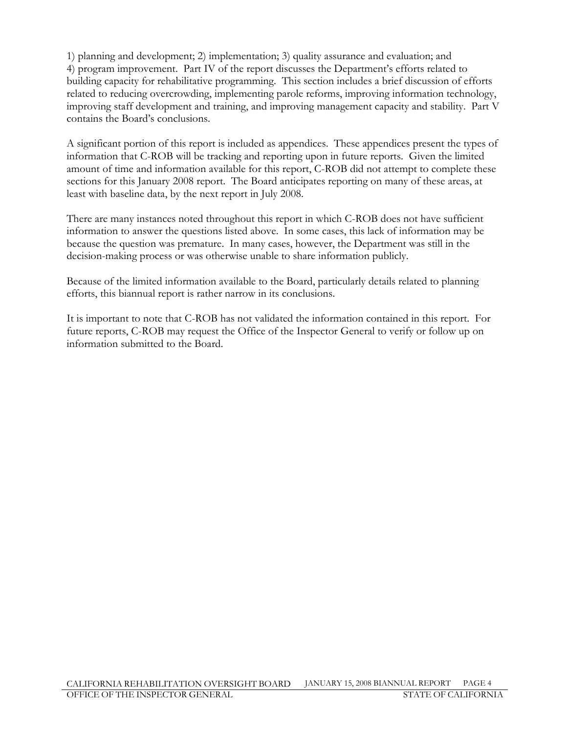1) planning and development; 2) implementation; 3) quality assurance and evaluation; and 4) program improvement. Part IV of the report discusses the Department's efforts related to building capacity for rehabilitative programming. This section includes a brief discussion of efforts related to reducing overcrowding, implementing parole reforms, improving information technology, improving staff development and training, and improving management capacity and stability. Part V contains the Board's conclusions.

A significant portion of this report is included as appendices. These appendices present the types of information that C-ROB will be tracking and reporting upon in future reports. Given the limited amount of time and information available for this report, C-ROB did not attempt to complete these sections for this January 2008 report. The Board anticipates reporting on many of these areas, at least with baseline data, by the next report in July 2008.

There are many instances noted throughout this report in which C-ROB does not have sufficient information to answer the questions listed above. In some cases, this lack of information may be because the question was premature. In many cases, however, the Department was still in the decision-making process or was otherwise unable to share information publicly.

Because of the limited information available to the Board, particularly details related to planning efforts, this biannual report is rather narrow in its conclusions.

It is important to note that C-ROB has not validated the information contained in this report. For future reports, C-ROB may request the Office of the Inspector General to verify or follow up on information submitted to the Board.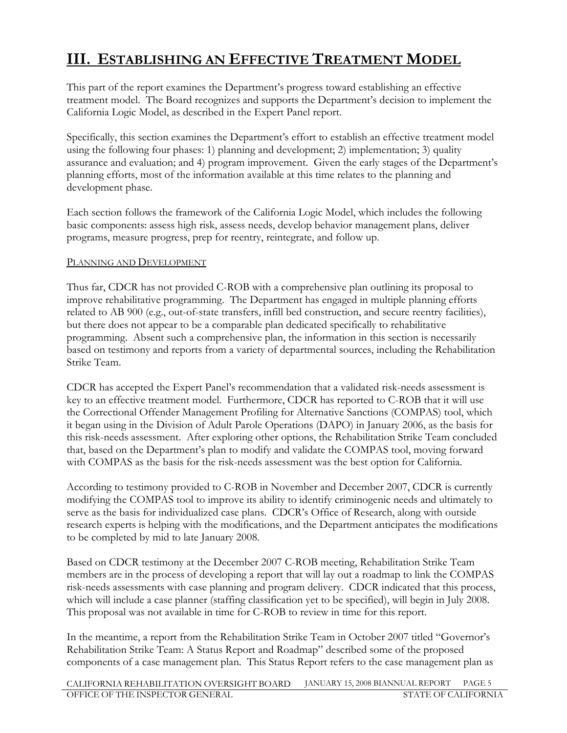## III. ESTABLISHING AN EFFECTIVE TREATMENT MODEL

This part of the report examines the Department's progress toward establishing an effective treatment model. The Board recognizes and supports the Department's decision to implement the California Logic Model, as described in the Expert Panel report.

Specifically, this section examines the Department's effort to establish an effective treatment model using the following four phases: 1) planning and development; 2) implementation; 3) quality assurance and evaluation; and 4) program improvement. Given the early stages of the Department's planning efforts, most of the information available at this time relates to the planning and development phase.

Each section follows the framework of the California Logic Model, which includes the following basic components: assess high risk, assess needs, develop behavior management plans, deliver programs, measure progress, prep for reentry, reintegrate, and follow up.

#### PLANNING AND DEVELOPMENT

Thus far, CDCR has not provided C-ROB with a comprehensive plan outlining its proposal to improve rehabilitative programming. The Department has engaged in multiple planning efforts related to AB 900 (e.g., out-of-state transfers, infill bed construction, and secure reentry facilities), but there does not appear to be a comparable plan dedicated specifically to rehabilitative programming. Absent such a comprehensive plan, the information in this section is necessarily based on testimony and reports from a variety of departmental sources, including the Rehabilitation Strike Team.

CDCR has accepted the Expert Panel's recommendation that a validated risk-needs assessment is key to an effective treatment model. Furthermore, CDCR has reported to C-ROB that it will use the Correctional Offender Management Profiling for Alternative Sanctions (COMPAS) tool, which it began using in the Division of Adult Parole Operations (DAPO) in January 2006, as the basis for this risk-needs assessment. After exploring other options, the Rehabilitation Strike Team concluded that, based on the Department's plan to modify and validate the COMPAS tool, moving forward with COMPAS as the basis for the risk-needs assessment was the best option for California.

According to testimony provided to C-ROB in November and December 2007, CDCR is currently modifying the COMPAS tool to improve its ability to identify criminogenic needs and ultimately to serve as the basis for individualized case plans. CDCR's Office of Research, along with outside research experts is helping with the modifications, and the Department anticipates the modifications to be completed by mid to late January 2008.

Based on CDCR testimony at the December 2007 C-ROB meeting, Rehabilitation Strike Team members are in the process of developing a report that will lay out a roadmap to link the COMPAS risk-needs assessments with case planning and program delivery. CDCR indicated that this process, which will include a case planner (staffing classification yet to be specified), will begin in July 2008. This proposal was not available in time for C-ROB to review in time for this report.

In the meantime, a report from the Rehabilitation Strike Team in October 2007 titled "Governor's Rehabilitation Strike Team: A Status Report and Roadmap" described some of the proposed components of a case management plan. This Status Report refers to the case management plan as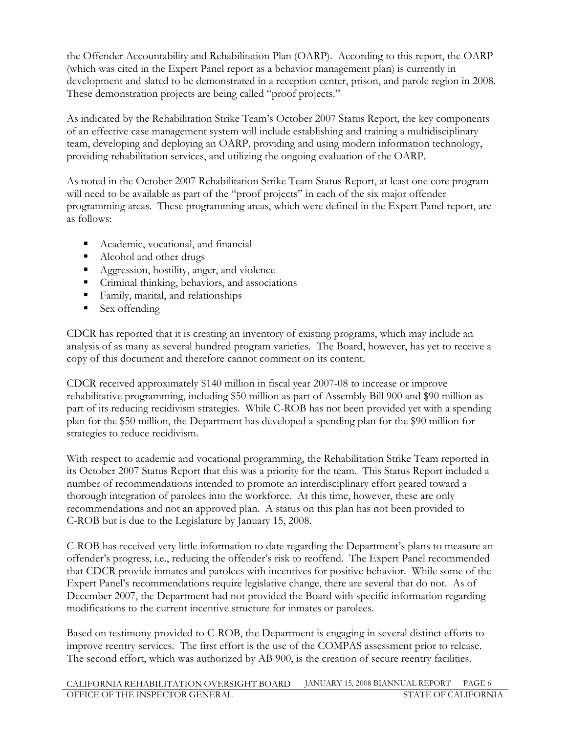the Offender Accountability and Rehabilitation Plan (OARP). According to this report, the OARP (which was cited in the Expert Panel report as a behavior management plan) is currently in development and slated to be demonstrated in a reception center, prison, and parole region in 2008. These demonstration projects are being called "proof projects."

As indicated by the Rehabilitation Strike Team's October 2007 Status Report, the key components of an effective case management system will include establishing and training a multidisciplinary team, developing and deploying an OARP, providing and using modern information technology, providing rehabilitation services, and utilizing the ongoing evaluation of the OARP.

As noted in the October 2007 Rehabilitation Strike Team Status Report, at least one core program will need to be available as part of the "proof projects" in each of the six major offender programming areas. These programming areas, which were defined in the Expert Panel report, are as follows:

- -Academic, vocational, and financial
- -Alcohol and other drugs
- **Aggression, hostility, anger, and violence**
- Criminal thinking, behaviors, and associations
- Family, marital, and relationships
- Sex offending

CDCR has reported that it is creating an inventory of existing programs, which may include an analysis of as many as several hundred program varieties. The Board, however, has yet to receive a copy of this document and therefore cannot comment on its content.

CDCR received approximately \$140 million in fiscal year 2007-08 to increase or improve rehabilitative programming, including \$50 million as part of Assembly Bill 900 and \$90 million as part of its reducing recidivism strategies. While C-ROB has not been provided yet with a spending plan for the \$50 million, the Department has developed a spending plan for the \$90 million for strategies to reduce recidivism.

With respect to academic and vocational programming, the Rehabilitation Strike Team reported in its October 2007 Status Report that this was a priority for the team. This Status Report included a number of recommendations intended to promote an interdisciplinary effort geared toward a thorough integration of parolees into the workforce. At this time, however, these are only recommendations and not an approved plan. A status on this plan has not been provided to C-ROB but is due to the Legislature by January 15, 2008.

C-ROB has received very little information to date regarding the Department's plans to measure an offender's progress, i.e., reducing the offender's risk to reoffend. The Expert Panel recommended that CDCR provide inmates and parolees with incentives for positive behavior. While some of the Expert Panel's recommendations require legislative change, there are several that do not. As of December 2007, the Department had not provided the Board with specific information regarding modifications to the current incentive structure for inmates or parolees.

Based on testimony provided to C-ROB, the Department is engaging in several distinct efforts to improve reentry services. The first effort is the use of the COMPAS assessment prior to release. The second effort, which was authorized by AB 900, is the creation of secure reentry facilities.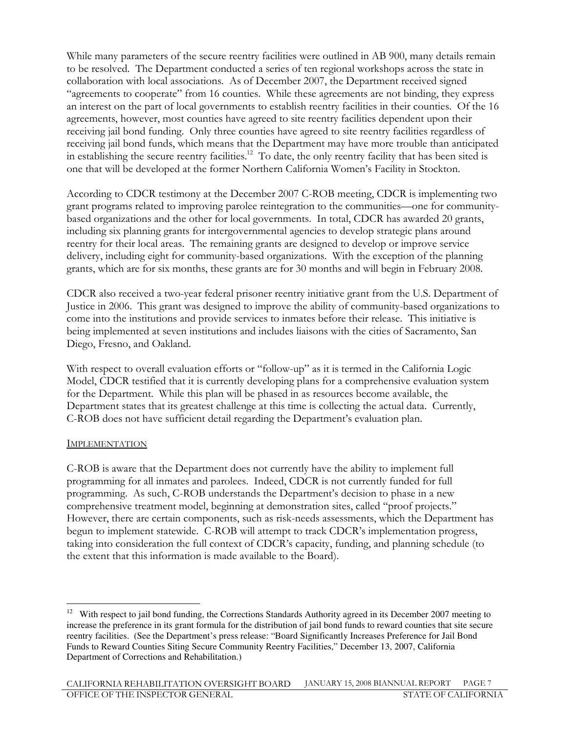While many parameters of the secure reentry facilities were outlined in AB 900, many details remain to be resolved. The Department conducted a series of ten regional workshops across the state in collaboration with local associations. As of December 2007, the Department received signed "agreements to cooperate" from 16 counties. While these agreements are not binding, they express an interest on the part of local governments to establish reentry facilities in their counties. Of the 16 agreements, however, most counties have agreed to site reentry facilities dependent upon their receiving jail bond funding. Only three counties have agreed to site reentry facilities regardless of receiving jail bond funds, which means that the Department may have more trouble than anticipated in establishing the secure reentry facilities.<sup>12</sup> To date, the only reentry facility that has been sited is one that will be developed at the former Northern California Women's Facility in Stockton.

According to CDCR testimony at the December 2007 C-ROB meeting, CDCR is implementing two grant programs related to improving parolee reintegration to the communities—one for communitybased organizations and the other for local governments. In total, CDCR has awarded 20 grants, including six planning grants for intergovernmental agencies to develop strategic plans around reentry for their local areas. The remaining grants are designed to develop or improve service delivery, including eight for community-based organizations. With the exception of the planning grants, which are for six months, these grants are for 30 months and will begin in February 2008.

CDCR also received a two-year federal prisoner reentry initiative grant from the U.S. Department of Justice in 2006. This grant was designed to improve the ability of community-based organizations to come into the institutions and provide services to inmates before their release. This initiative is being implemented at seven institutions and includes liaisons with the cities of Sacramento, San Diego, Fresno, and Oakland.

With respect to overall evaluation efforts or "follow-up" as it is termed in the California Logic Model, CDCR testified that it is currently developing plans for a comprehensive evaluation system for the Department. While this plan will be phased in as resources become available, the Department states that its greatest challenge at this time is collecting the actual data. Currently, C-ROB does not have sufficient detail regarding the Department's evaluation plan.

#### IMPLEMENTATION

 $\overline{a}$ 

C-ROB is aware that the Department does not currently have the ability to implement full programming for all inmates and parolees. Indeed, CDCR is not currently funded for full programming. As such, C-ROB understands the Department's decision to phase in a new comprehensive treatment model, beginning at demonstration sites, called "proof projects." However, there are certain components, such as risk-needs assessments, which the Department has begun to implement statewide. C-ROB will attempt to track CDCR's implementation progress, taking into consideration the full context of CDCR's capacity, funding, and planning schedule (to the extent that this information is made available to the Board).

<sup>&</sup>lt;sup>12</sup> With respect to jail bond funding, the Corrections Standards Authority agreed in its December 2007 meeting to increase the preference in its grant formula for the distribution of jail bond funds to reward counties that site secure reentry facilities. (See the Department's press release: "Board Significantly Increases Preference for Jail Bond Funds to Reward Counties Siting Secure Community Reentry Facilities," December 13, 2007, California Department of Corrections and Rehabilitation.)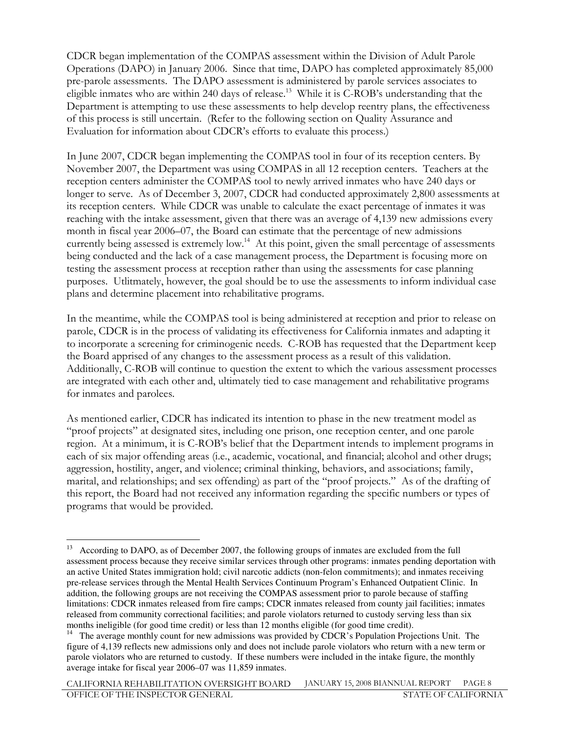CDCR began implementation of the COMPAS assessment within the Division of Adult Parole Operations (DAPO) in January 2006. Since that time, DAPO has completed approximately 85,000 pre-parole assessments. The DAPO assessment is administered by parole services associates to eligible inmates who are within 240 days of release.<sup>13</sup> While it is C-ROB's understanding that the Department is attempting to use these assessments to help develop reentry plans, the effectiveness of this process is still uncertain. (Refer to the following section on Quality Assurance and Evaluation for information about CDCR's efforts to evaluate this process.)

In June 2007, CDCR began implementing the COMPAS tool in four of its reception centers. By November 2007, the Department was using COMPAS in all 12 reception centers. Teachers at the reception centers administer the COMPAS tool to newly arrived inmates who have 240 days or longer to serve. As of December 3, 2007, CDCR had conducted approximately 2,800 assessments at its reception centers. While CDCR was unable to calculate the exact percentage of inmates it was reaching with the intake assessment, given that there was an average of 4,139 new admissions every month in fiscal year 2006–07, the Board can estimate that the percentage of new admissions currently being assessed is extremely low.<sup>14</sup> At this point, given the small percentage of assessments being conducted and the lack of a case management process, the Department is focusing more on testing the assessment process at reception rather than using the assessments for case planning purposes. Utlitmately, however, the goal should be to use the assessments to inform individual case plans and determine placement into rehabilitative programs.

In the meantime, while the COMPAS tool is being administered at reception and prior to release on parole, CDCR is in the process of validating its effectiveness for California inmates and adapting it to incorporate a screening for criminogenic needs. C-ROB has requested that the Department keep the Board apprised of any changes to the assessment process as a result of this validation. Additionally, C-ROB will continue to question the extent to which the various assessment processes are integrated with each other and, ultimately tied to case management and rehabilitative programs for inmates and parolees.

As mentioned earlier, CDCR has indicated its intention to phase in the new treatment model as "proof projects" at designated sites, including one prison, one reception center, and one parole region. At a minimum, it is C-ROB's belief that the Department intends to implement programs in each of six major offending areas (i.e., academic, vocational, and financial; alcohol and other drugs; aggression, hostility, anger, and violence; criminal thinking, behaviors, and associations; family, marital, and relationships; and sex offending) as part of the "proof projects." As of the drafting of this report, the Board had not received any information regarding the specific numbers or types of programs that would be provided.

 $\overline{a}$ <sup>13</sup> According to DAPO, as of December 2007, the following groups of inmates are excluded from the full assessment process because they receive similar services through other programs: inmates pending deportation with an active United States immigration hold; civil narcotic addicts (non-felon commitments); and inmates receiving pre-release services through the Mental Health Services Continuum Program's Enhanced Outpatient Clinic. In addition, the following groups are not receiving the COMPAS assessment prior to parole because of staffing limitations: CDCR inmates released from fire camps; CDCR inmates released from county jail facilities; inmates released from community correctional facilities; and parole violators returned to custody serving less than six months ineligible (for good time credit) or less than 12 months eligible (for good time credit).

<sup>&</sup>lt;sup>14</sup> The average monthly count for new admissions was provided by CDCR's Population Projections Unit. The figure of 4,139 reflects new admissions only and does not include parole violators who return with a new term or parole violators who are returned to custody. If these numbers were included in the intake figure, the monthly average intake for fiscal year 2006–07 was 11,859 inmates.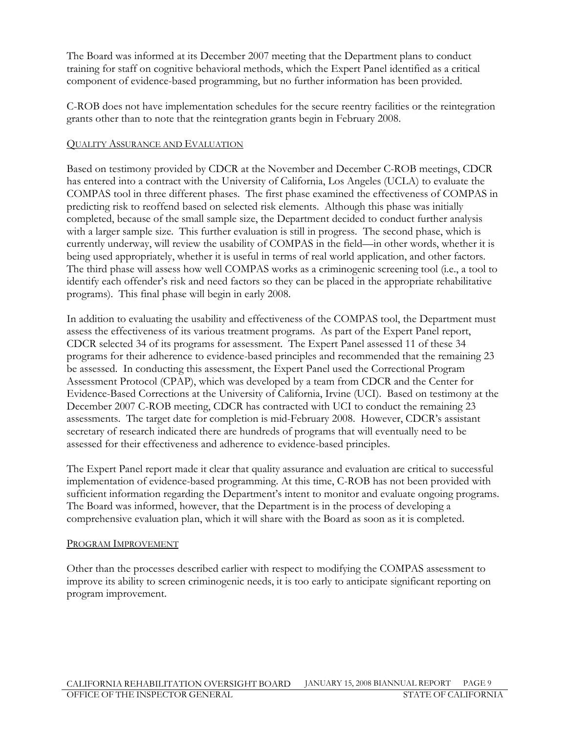The Board was informed at its December 2007 meeting that the Department plans to conduct training for staff on cognitive behavioral methods, which the Expert Panel identified as a critical component of evidence-based programming, but no further information has been provided.

C-ROB does not have implementation schedules for the secure reentry facilities or the reintegration grants other than to note that the reintegration grants begin in February 2008.

#### QUALITY ASSURANCE AND EVALUATION

Based on testimony provided by CDCR at the November and December C-ROB meetings, CDCR has entered into a contract with the University of California, Los Angeles (UCLA) to evaluate the COMPAS tool in three different phases. The first phase examined the effectiveness of COMPAS in predicting risk to reoffend based on selected risk elements. Although this phase was initially completed, because of the small sample size, the Department decided to conduct further analysis with a larger sample size. This further evaluation is still in progress. The second phase, which is currently underway, will review the usability of COMPAS in the field—in other words, whether it is being used appropriately, whether it is useful in terms of real world application, and other factors. The third phase will assess how well COMPAS works as a criminogenic screening tool (i.e., a tool to identify each offender's risk and need factors so they can be placed in the appropriate rehabilitative programs). This final phase will begin in early 2008.

In addition to evaluating the usability and effectiveness of the COMPAS tool, the Department must assess the effectiveness of its various treatment programs. As part of the Expert Panel report, CDCR selected 34 of its programs for assessment. The Expert Panel assessed 11 of these 34 programs for their adherence to evidence-based principles and recommended that the remaining 23 be assessed. In conducting this assessment, the Expert Panel used the Correctional Program Assessment Protocol (CPAP), which was developed by a team from CDCR and the Center for Evidence-Based Corrections at the University of California, Irvine (UCI). Based on testimony at the December 2007 C-ROB meeting, CDCR has contracted with UCI to conduct the remaining 23 assessments. The target date for completion is mid-February 2008. However, CDCR's assistant secretary of research indicated there are hundreds of programs that will eventually need to be assessed for their effectiveness and adherence to evidence-based principles.

The Expert Panel report made it clear that quality assurance and evaluation are critical to successful implementation of evidence-based programming. At this time, C-ROB has not been provided with sufficient information regarding the Department's intent to monitor and evaluate ongoing programs. The Board was informed, however, that the Department is in the process of developing a comprehensive evaluation plan, which it will share with the Board as soon as it is completed.

#### PROGRAM IMPROVEMENT

Other than the processes described earlier with respect to modifying the COMPAS assessment to improve its ability to screen criminogenic needs, it is too early to anticipate significant reporting on program improvement.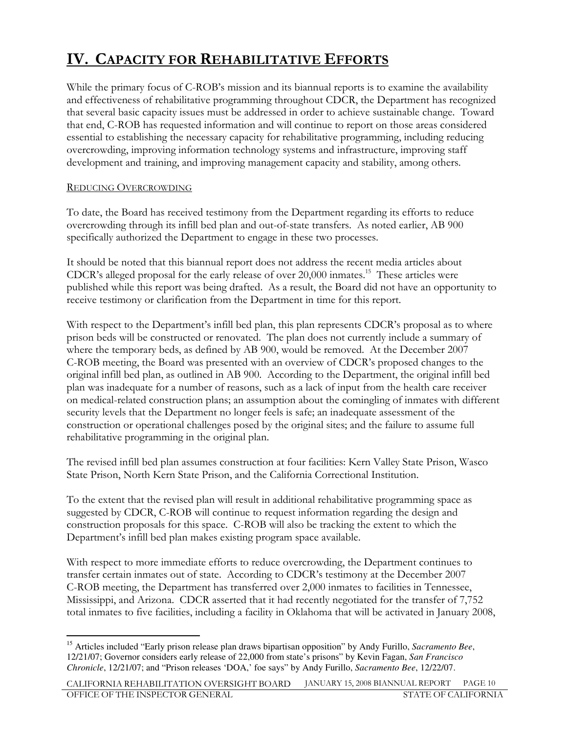## IV. CAPACITY FOR REHABILITATIVE EFFORTS

While the primary focus of C-ROB's mission and its biannual reports is to examine the availability and effectiveness of rehabilitative programming throughout CDCR, the Department has recognized that several basic capacity issues must be addressed in order to achieve sustainable change. Toward that end, C-ROB has requested information and will continue to report on those areas considered essential to establishing the necessary capacity for rehabilitative programming, including reducing overcrowding, improving information technology systems and infrastructure, improving staff development and training, and improving management capacity and stability, among others.

### REDUCING OVERCROWDING

To date, the Board has received testimony from the Department regarding its efforts to reduce overcrowding through its infill bed plan and out-of-state transfers. As noted earlier, AB 900 specifically authorized the Department to engage in these two processes.

It should be noted that this biannual report does not address the recent media articles about CDCR's alleged proposal for the early release of over 20,000 inmates.<sup>15</sup> These articles were published while this report was being drafted. As a result, the Board did not have an opportunity to receive testimony or clarification from the Department in time for this report.

With respect to the Department's infill bed plan, this plan represents CDCR's proposal as to where prison beds will be constructed or renovated. The plan does not currently include a summary of where the temporary beds, as defined by AB 900, would be removed. At the December 2007 C-ROB meeting, the Board was presented with an overview of CDCR's proposed changes to the original infill bed plan, as outlined in AB 900. According to the Department, the original infill bed plan was inadequate for a number of reasons, such as a lack of input from the health care receiver on medical-related construction plans; an assumption about the comingling of inmates with different security levels that the Department no longer feels is safe; an inadequate assessment of the construction or operational challenges posed by the original sites; and the failure to assume full rehabilitative programming in the original plan.

The revised infill bed plan assumes construction at four facilities: Kern Valley State Prison, Wasco State Prison, North Kern State Prison, and the California Correctional Institution.

To the extent that the revised plan will result in additional rehabilitative programming space as suggested by CDCR, C-ROB will continue to request information regarding the design and construction proposals for this space. C-ROB will also be tracking the extent to which the Department's infill bed plan makes existing program space available.

With respect to more immediate efforts to reduce overcrowding, the Department continues to transfer certain inmates out of state. According to CDCR's testimony at the December 2007 C-ROB meeting, the Department has transferred over 2,000 inmates to facilities in Tennessee, Mississippi, and Arizona. CDCR asserted that it had recently negotiated for the transfer of 7,752 total inmates to five facilities, including a facility in Oklahoma that will be activated in January 2008,

 $\overline{a}$ <sup>15</sup> Articles included "Early prison release plan draws bipartisan opposition" by Andy Furillo, *Sacramento Bee*, 12/21/07; Governor considers early release of 22,000 from state's prisons" by Kevin Fagan, *San Francisco Chronicle*, 12/21/07; and "Prison releases 'DOA,' foe says" by Andy Furillo, *Sacramento Bee*, 12/22/07.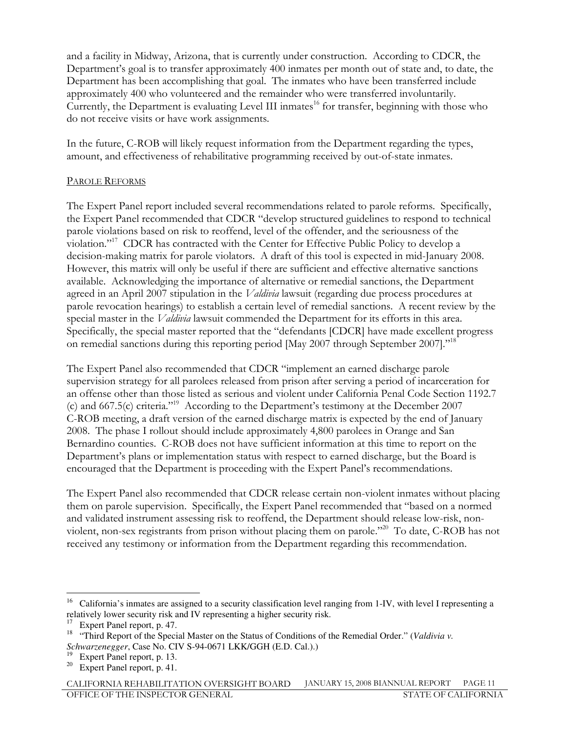and a facility in Midway, Arizona, that is currently under construction. According to CDCR, the Department's goal is to transfer approximately 400 inmates per month out of state and, to date, the Department has been accomplishing that goal. The inmates who have been transferred include approximately 400 who volunteered and the remainder who were transferred involuntarily. Currently, the Department is evaluating Level III inmates<sup>16</sup> for transfer, beginning with those who do not receive visits or have work assignments.

In the future, C-ROB will likely request information from the Department regarding the types, amount, and effectiveness of rehabilitative programming received by out-of-state inmates.

#### PAROLE REFORMS

The Expert Panel report included several recommendations related to parole reforms. Specifically, the Expert Panel recommended that CDCR "develop structured guidelines to respond to technical parole violations based on risk to reoffend, level of the offender, and the seriousness of the violation."<sup>17</sup> CDCR has contracted with the Center for Effective Public Policy to develop a decision-making matrix for parole violators. A draft of this tool is expected in mid-January 2008. However, this matrix will only be useful if there are sufficient and effective alternative sanctions available. Acknowledging the importance of alternative or remedial sanctions, the Department agreed in an April 2007 stipulation in the Valdivia lawsuit (regarding due process procedures at parole revocation hearings) to establish a certain level of remedial sanctions. A recent review by the special master in the *Valdivia* lawsuit commended the Department for its efforts in this area. Specifically, the special master reported that the "defendants [CDCR] have made excellent progress on remedial sanctions during this reporting period [May 2007 through September 2007]."<sup>18</sup>

The Expert Panel also recommended that CDCR "implement an earned discharge parole supervision strategy for all parolees released from prison after serving a period of incarceration for an offense other than those listed as serious and violent under California Penal Code Section 1192.7 (c) and 667.5(c) criteria."<sup>19</sup> According to the Department's testimony at the December 2007 C-ROB meeting, a draft version of the earned discharge matrix is expected by the end of January 2008. The phase I rollout should include approximately 4,800 parolees in Orange and San Bernardino counties. C-ROB does not have sufficient information at this time to report on the Department's plans or implementation status with respect to earned discharge, but the Board is encouraged that the Department is proceeding with the Expert Panel's recommendations.

The Expert Panel also recommended that CDCR release certain non-violent inmates without placing them on parole supervision. Specifically, the Expert Panel recommended that "based on a normed and validated instrument assessing risk to reoffend, the Department should release low-risk, nonviolent, non-sex registrants from prison without placing them on parole."<sup>20</sup> To date, C-ROB has not received any testimony or information from the Department regarding this recommendation.

 $\overline{a}$  $16$  California's inmates are assigned to a security classification level ranging from 1-IV, with level I representing a relatively lower security risk and IV representing a higher security risk.

<sup>&</sup>lt;sup>17</sup> Expert Panel report, p. 47.

<sup>&</sup>lt;sup>18</sup> "Third Report of the Special Master on the Status of Conditions of the Remedial Order." (*Valdivia v*. *Schwarzenegger*, Case No. CIV S-94-0671 LKK/GGH (E.D. Cal.).)

Expert Panel report, p. 13.

<sup>&</sup>lt;sup>20</sup> Expert Panel report, p. 41.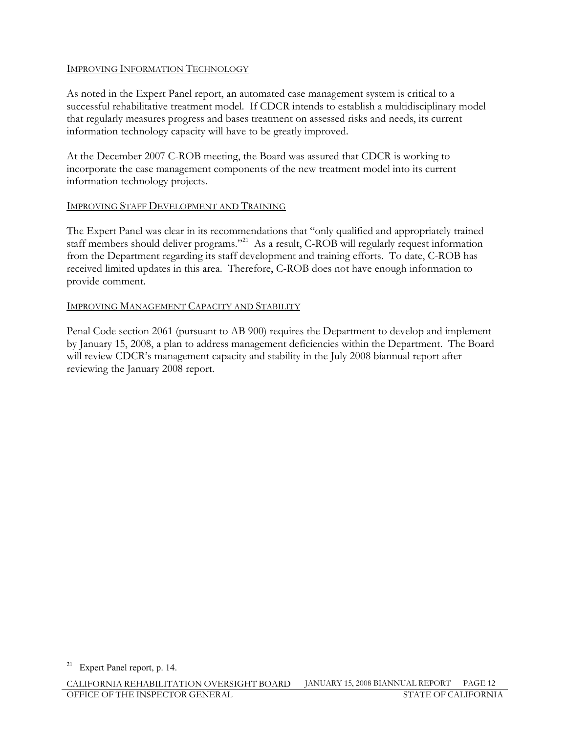### IMPROVING INFORMATION TECHNOLOGY

As noted in the Expert Panel report, an automated case management system is critical to a successful rehabilitative treatment model. If CDCR intends to establish a multidisciplinary model that regularly measures progress and bases treatment on assessed risks and needs, its current information technology capacity will have to be greatly improved.

At the December 2007 C-ROB meeting, the Board was assured that CDCR is working to incorporate the case management components of the new treatment model into its current information technology projects.

### IMPROVING STAFF DEVELOPMENT AND TRAINING

The Expert Panel was clear in its recommendations that "only qualified and appropriately trained staff members should deliver programs."<sup>21</sup> As a result, C-ROB will regularly request information from the Department regarding its staff development and training efforts. To date, C-ROB has received limited updates in this area. Therefore, C-ROB does not have enough information to provide comment.

#### IMPROVING MANAGEMENT CAPACITY AND STABILITY

Penal Code section 2061 (pursuant to AB 900) requires the Department to develop and implement by January 15, 2008, a plan to address management deficiencies within the Department. The Board will review CDCR's management capacity and stability in the July 2008 biannual report after reviewing the January 2008 report.

 $\overline{a}$ <sup>21</sup> Expert Panel report, p. 14.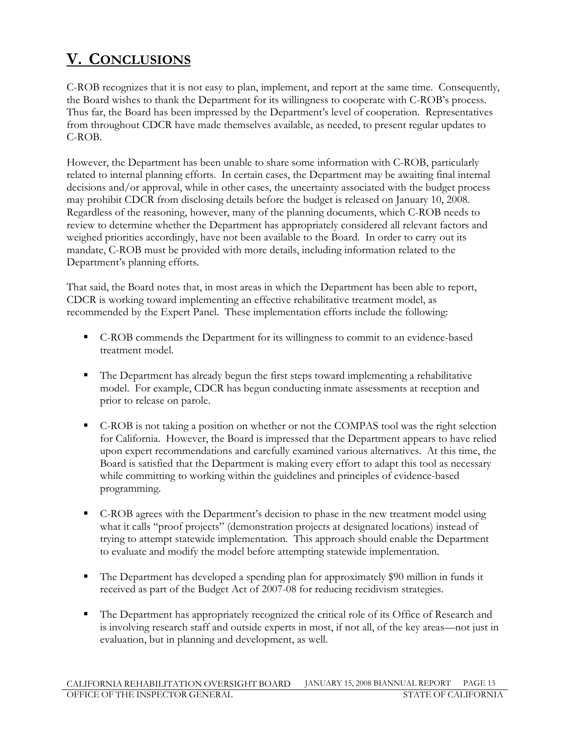## V. CONCLUSIONS

C-ROB recognizes that it is not easy to plan, implement, and report at the same time. Consequently, the Board wishes to thank the Department for its willingness to cooperate with C-ROB's process. Thus far, the Board has been impressed by the Department's level of cooperation. Representatives from throughout CDCR have made themselves available, as needed, to present regular updates to C-ROB.

However, the Department has been unable to share some information with C-ROB, particularly related to internal planning efforts. In certain cases, the Department may be awaiting final internal decisions and/or approval, while in other cases, the uncertainty associated with the budget process may prohibit CDCR from disclosing details before the budget is released on January 10, 2008. Regardless of the reasoning, however, many of the planning documents, which C-ROB needs to review to determine whether the Department has appropriately considered all relevant factors and weighed priorities accordingly, have not been available to the Board. In order to carry out its mandate, C-ROB must be provided with more details, including information related to the Department's planning efforts.

That said, the Board notes that, in most areas in which the Department has been able to report, CDCR is working toward implementing an effective rehabilitative treatment model, as recommended by the Expert Panel. These implementation efforts include the following:

- C-ROB commends the Department for its willingness to commit to an evidence-based treatment model.
- - The Department has already begun the first steps toward implementing a rehabilitative model. For example, CDCR has begun conducting inmate assessments at reception and prior to release on parole.
- C-ROB is not taking a position on whether or not the COMPAS tool was the right selection for California. However, the Board is impressed that the Department appears to have relied upon expert recommendations and carefully examined various alternatives. At this time, the Board is satisfied that the Department is making every effort to adapt this tool as necessary while committing to working within the guidelines and principles of evidence-based programming.
- - C-ROB agrees with the Department's decision to phase in the new treatment model using what it calls "proof projects" (demonstration projects at designated locations) instead of trying to attempt statewide implementation. This approach should enable the Department to evaluate and modify the model before attempting statewide implementation.
- The Department has developed a spending plan for approximately \$90 million in funds it received as part of the Budget Act of 2007-08 for reducing recidivism strategies.
- - The Department has appropriately recognized the critical role of its Office of Research and is involving research staff and outside experts in most, if not all, of the key areas—not just in evaluation, but in planning and development, as well.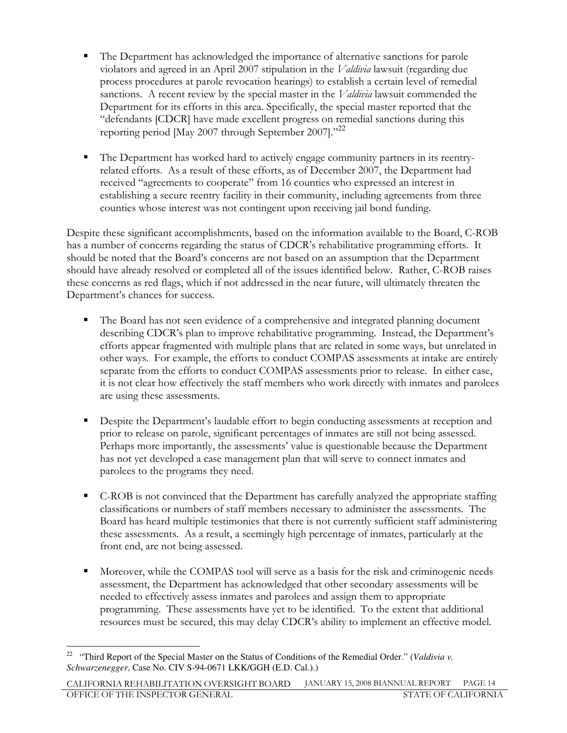- - The Department has acknowledged the importance of alternative sanctions for parole violators and agreed in an April 2007 stipulation in the Valdivia lawsuit (regarding due process procedures at parole revocation hearings) to establish a certain level of remedial sanctions. A recent review by the special master in the *Valdivia* lawsuit commended the Department for its efforts in this area. Specifically, the special master reported that the "defendants [CDCR] have made excellent progress on remedial sanctions during this reporting period [May 2007 through September 2007]."<sup>22</sup>
- - The Department has worked hard to actively engage community partners in its reentryrelated efforts. As a result of these efforts, as of December 2007, the Department had received "agreements to cooperate" from 16 counties who expressed an interest in establishing a secure reentry facility in their community, including agreements from three counties whose interest was not contingent upon receiving jail bond funding.

Despite these significant accomplishments, based on the information available to the Board, C-ROB has a number of concerns regarding the status of CDCR's rehabilitative programming efforts. It should be noted that the Board's concerns are not based on an assumption that the Department should have already resolved or completed all of the issues identified below. Rather, C-ROB raises these concerns as red flags, which if not addressed in the near future, will ultimately threaten the Department's chances for success.

- - The Board has not seen evidence of a comprehensive and integrated planning document describing CDCR's plan to improve rehabilitative programming. Instead, the Department's efforts appear fragmented with multiple plans that are related in some ways, but unrelated in other ways. For example, the efforts to conduct COMPAS assessments at intake are entirely separate from the efforts to conduct COMPAS assessments prior to release. In either case, it is not clear how effectively the staff members who work directly with inmates and parolees are using these assessments.
- - Despite the Department's laudable effort to begin conducting assessments at reception and prior to release on parole, significant percentages of inmates are still not being assessed. Perhaps more importantly, the assessments' value is questionable because the Department has not yet developed a case management plan that will serve to connect inmates and parolees to the programs they need.
- - C-ROB is not convinced that the Department has carefully analyzed the appropriate staffing classifications or numbers of staff members necessary to administer the assessments. The Board has heard multiple testimonies that there is not currently sufficient staff administering these assessments. As a result, a seemingly high percentage of inmates, particularly at the front end, are not being assessed.
- - Moreover, while the COMPAS tool will serve as a basis for the risk and criminogenic needs assessment, the Department has acknowledged that other secondary assessments will be needed to effectively assess inmates and parolees and assign them to appropriate programming. These assessments have yet to be identified. To the extent that additional resources must be secured, this may delay CDCR's ability to implement an effective model.

 $\overline{a}$ <sup>22</sup> "Third Report of the Special Master on the Status of Conditions of the Remedial Order." (*Valdivia v*. *Schwarzenegger*, Case No. CIV S-94-0671 LKK/GGH (E.D. Cal.).)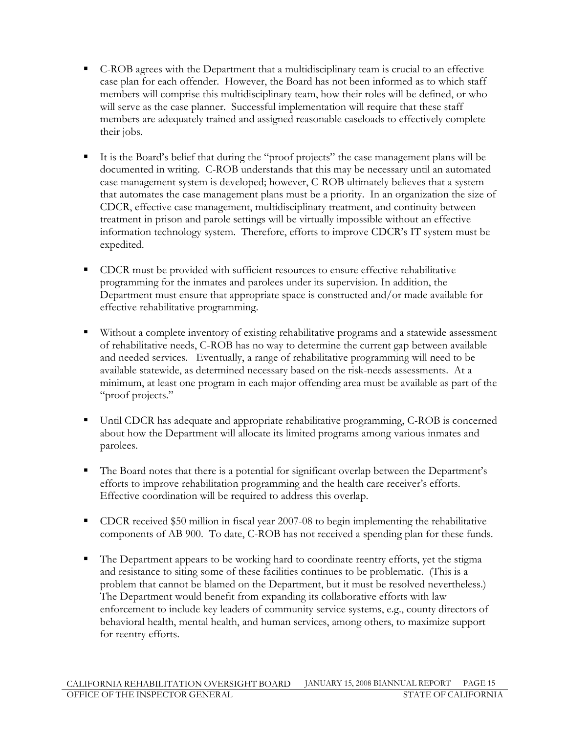- - C-ROB agrees with the Department that a multidisciplinary team is crucial to an effective case plan for each offender. However, the Board has not been informed as to which staff members will comprise this multidisciplinary team, how their roles will be defined, or who will serve as the case planner. Successful implementation will require that these staff members are adequately trained and assigned reasonable caseloads to effectively complete their jobs.
- - It is the Board's belief that during the "proof projects" the case management plans will be documented in writing. C-ROB understands that this may be necessary until an automated case management system is developed; however, C-ROB ultimately believes that a system that automates the case management plans must be a priority. In an organization the size of CDCR, effective case management, multidisciplinary treatment, and continuity between treatment in prison and parole settings will be virtually impossible without an effective information technology system. Therefore, efforts to improve CDCR's IT system must be expedited.
- **-** CDCR must be provided with sufficient resources to ensure effective rehabilitative programming for the inmates and parolees under its supervision. In addition, the Department must ensure that appropriate space is constructed and/or made available for effective rehabilitative programming.
- Without a complete inventory of existing rehabilitative programs and a statewide assessment of rehabilitative needs, C-ROB has no way to determine the current gap between available and needed services. Eventually, a range of rehabilitative programming will need to be available statewide, as determined necessary based on the risk-needs assessments. At a minimum, at least one program in each major offending area must be available as part of the "proof projects."
- Until CDCR has adequate and appropriate rehabilitative programming, C-ROB is concerned about how the Department will allocate its limited programs among various inmates and parolees.
- - The Board notes that there is a potential for significant overlap between the Department's efforts to improve rehabilitation programming and the health care receiver's efforts. Effective coordination will be required to address this overlap.
- CDCR received \$50 million in fiscal year 2007-08 to begin implementing the rehabilitative components of AB 900. To date, C-ROB has not received a spending plan for these funds.
- The Department appears to be working hard to coordinate reentry efforts, yet the stigma and resistance to siting some of these facilities continues to be problematic. (This is a problem that cannot be blamed on the Department, but it must be resolved nevertheless.) The Department would benefit from expanding its collaborative efforts with law enforcement to include key leaders of community service systems, e.g., county directors of behavioral health, mental health, and human services, among others, to maximize support for reentry efforts.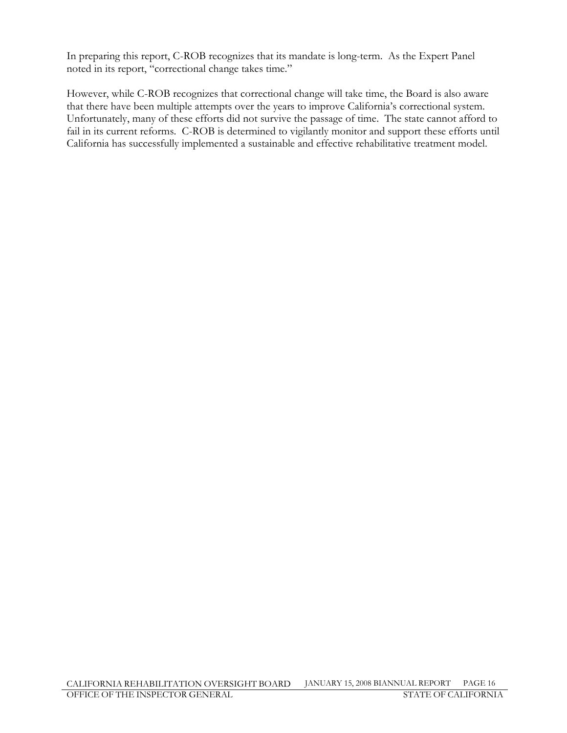In preparing this report, C-ROB recognizes that its mandate is long-term. As the Expert Panel noted in its report, "correctional change takes time."

However, while C-ROB recognizes that correctional change will take time, the Board is also aware that there have been multiple attempts over the years to improve California's correctional system. Unfortunately, many of these efforts did not survive the passage of time. The state cannot afford to fail in its current reforms. C-ROB is determined to vigilantly monitor and support these efforts until California has successfully implemented a sustainable and effective rehabilitative treatment model.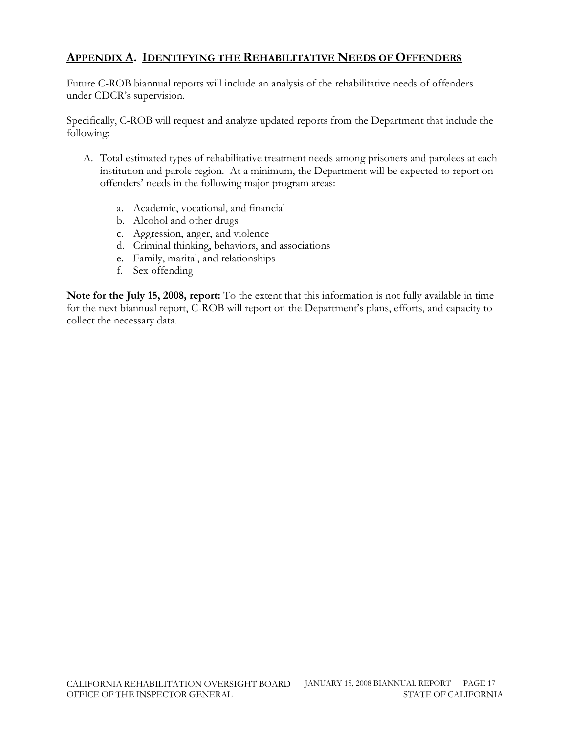### APPENDIX A. IDENTIFYING THE REHABILITATIVE NEEDS OF OFFENDERS

Future C-ROB biannual reports will include an analysis of the rehabilitative needs of offenders under CDCR's supervision.

Specifically, C-ROB will request and analyze updated reports from the Department that include the following:

- A. Total estimated types of rehabilitative treatment needs among prisoners and parolees at each institution and parole region. At a minimum, the Department will be expected to report on offenders' needs in the following major program areas:
	- a. Academic, vocational, and financial
	- b. Alcohol and other drugs
	- c. Aggression, anger, and violence
	- d. Criminal thinking, behaviors, and associations
	- e. Family, marital, and relationships
	- f. Sex offending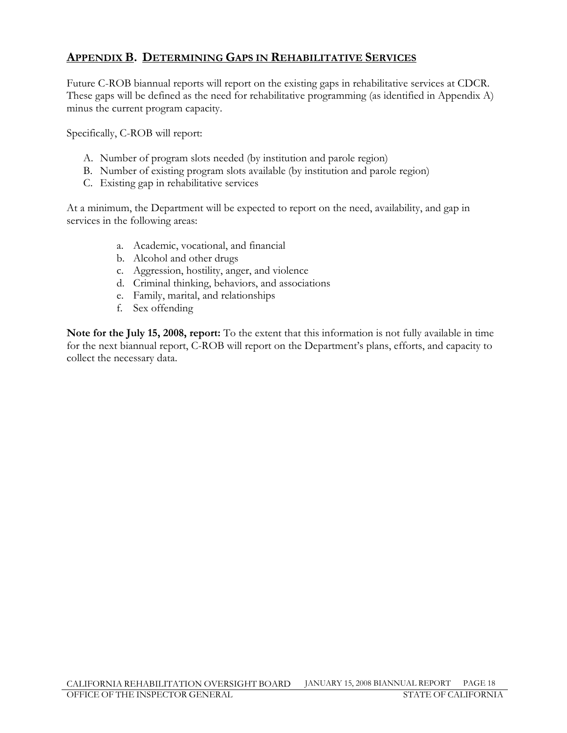### APPENDIX B. DETERMINING GAPS IN REHABILITATIVE SERVICES

Future C-ROB biannual reports will report on the existing gaps in rehabilitative services at CDCR. These gaps will be defined as the need for rehabilitative programming (as identified in Appendix A) minus the current program capacity.

Specifically, C-ROB will report:

- A. Number of program slots needed (by institution and parole region)
- B. Number of existing program slots available (by institution and parole region)
- C. Existing gap in rehabilitative services

At a minimum, the Department will be expected to report on the need, availability, and gap in services in the following areas:

- a. Academic, vocational, and financial
- b. Alcohol and other drugs
- c. Aggression, hostility, anger, and violence
- d. Criminal thinking, behaviors, and associations
- e. Family, marital, and relationships
- f. Sex offending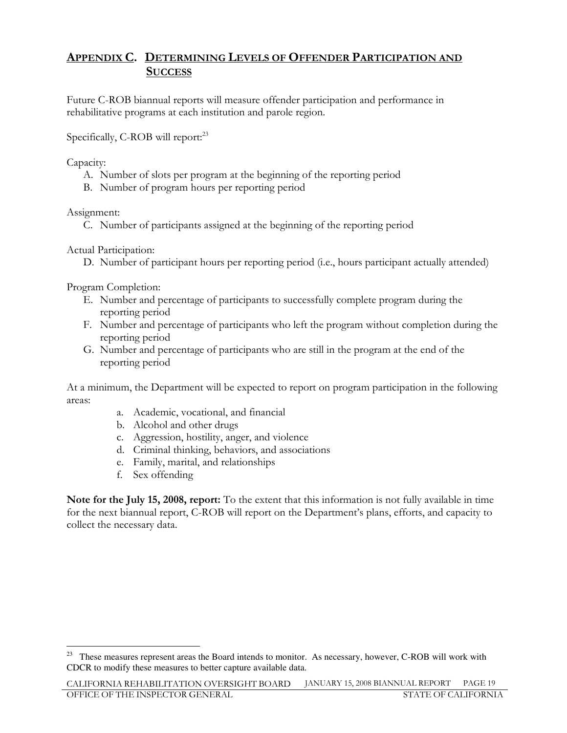### APPENDIX C. DETERMINING LEVELS OF OFFENDER PARTICIPATION AND **SUCCESS**

Future C-ROB biannual reports will measure offender participation and performance in rehabilitative programs at each institution and parole region.

Specifically, C-ROB will report:<sup>23</sup>

Capacity:

- A. Number of slots per program at the beginning of the reporting period
- B. Number of program hours per reporting period

Assignment:

C. Number of participants assigned at the beginning of the reporting period

Actual Participation:

D. Number of participant hours per reporting period (i.e., hours participant actually attended)

Program Completion:

- E. Number and percentage of participants to successfully complete program during the reporting period
- F. Number and percentage of participants who left the program without completion during the reporting period
- G. Number and percentage of participants who are still in the program at the end of the reporting period

At a minimum, the Department will be expected to report on program participation in the following areas:

- a. Academic, vocational, and financial
- b. Alcohol and other drugs
- c. Aggression, hostility, anger, and violence
- d. Criminal thinking, behaviors, and associations
- e. Family, marital, and relationships
- f. Sex offending

 $\overline{a}$ <sup>23</sup> These measures represent areas the Board intends to monitor. As necessary, however, C-ROB will work with CDCR to modify these measures to better capture available data.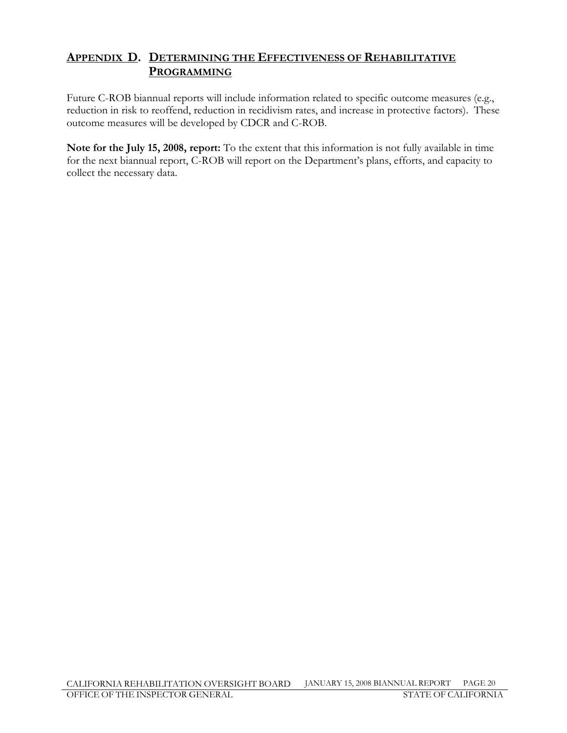### APPENDIX D. DETERMINING THE EFFECTIVENESS OF REHABILITATIVE PROGRAMMING

Future C-ROB biannual reports will include information related to specific outcome measures (e.g., reduction in risk to reoffend, reduction in recidivism rates, and increase in protective factors). These outcome measures will be developed by CDCR and C-ROB.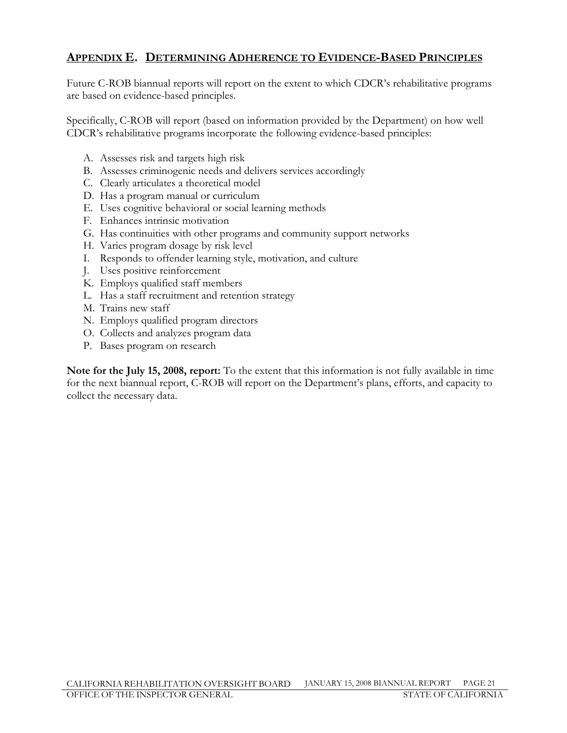### APPENDIX E. DETERMINING ADHERENCE TO EVIDENCE-BASED PRINCIPLES

Future C-ROB biannual reports will report on the extent to which CDCR's rehabilitative programs are based on evidence-based principles.

Specifically, C-ROB will report (based on information provided by the Department) on how well CDCR's rehabilitative programs incorporate the following evidence-based principles:

- A. Assesses risk and targets high risk
- B. Assesses criminogenic needs and delivers services accordingly
- C. Clearly articulates a theoretical model
- D. Has a program manual or curriculum
- E. Uses cognitive behavioral or social learning methods
- F. Enhances intrinsic motivation
- G. Has continuities with other programs and community support networks
- H. Varies program dosage by risk level
- I. Responds to offender learning style, motivation, and culture
- J. Uses positive reinforcement
- K. Employs qualified staff members
- L. Has a staff recruitment and retention strategy
- M. Trains new staff
- N. Employs qualified program directors
- O. Collects and analyzes program data
- P. Bases program on research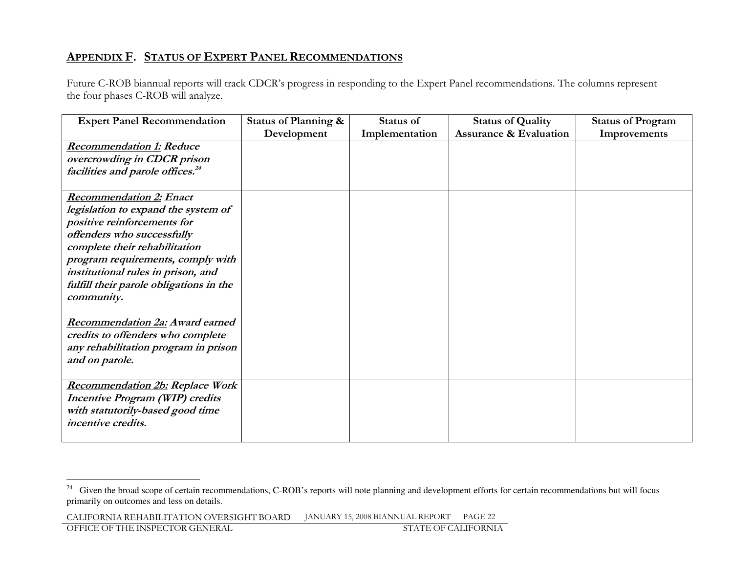### <u>Appendix F. Status of Expert Panel Recommendations</u>

Future C-ROB biannual reports will track CDCR's progress in responding to the Expert Panel recommendations. The columns represent the four phases C-ROB will analyze.

| <b>Expert Panel Recommendation</b>                                                                                                                                                                                                                                                                      | Status of Planning & | Status of      | <b>Status of Quality</b>          | <b>Status of Program</b> |
|---------------------------------------------------------------------------------------------------------------------------------------------------------------------------------------------------------------------------------------------------------------------------------------------------------|----------------------|----------------|-----------------------------------|--------------------------|
|                                                                                                                                                                                                                                                                                                         | Development          | Implementation | <b>Assurance &amp; Evaluation</b> | Improvements             |
| <b>Recommendation 1: Reduce</b><br>overcrowding in CDCR prison<br>facilities and parole offices. <sup>24</sup>                                                                                                                                                                                          |                      |                |                                   |                          |
| <b>Recommendation 2: Enact</b><br>legislation to expand the system of<br>positive reinforcements for<br>offenders who successfully<br>complete their rehabilitation<br>program requirements, comply with<br>institutional rules in prison, and<br>fulfill their parole obligations in the<br>community. |                      |                |                                   |                          |
| Recommendation 2a: Award earned<br>credits to offenders who complete<br>any rehabilitation program in prison<br>and on parole.                                                                                                                                                                          |                      |                |                                   |                          |
| <b>Recommendation 2b: Replace Work</b><br><b>Incentive Program (WIP) credits</b><br>with statutorily-based good time<br>incentive credits.                                                                                                                                                              |                      |                |                                   |                          |

<sup>&</sup>lt;sup>24</sup> Given the broad scope of certain recommendations, C-ROB's reports will note planning and development efforts for certain recommendations but will focus primarily on outcomes and less on details.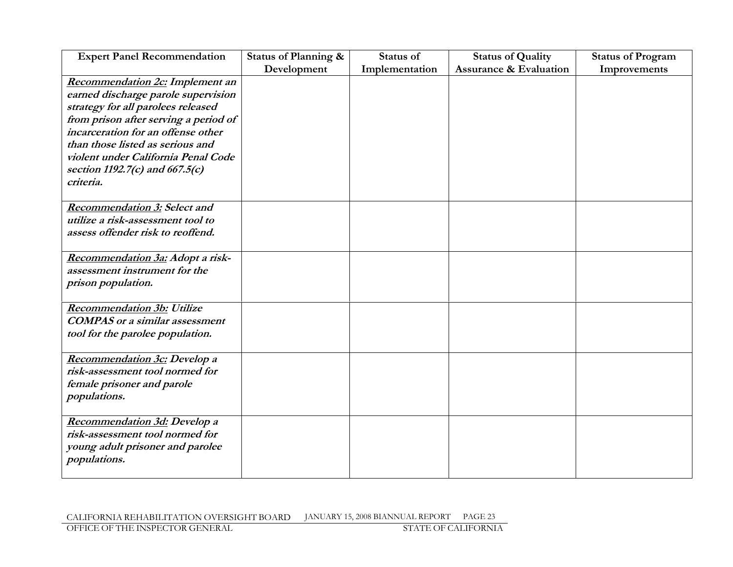| <b>Expert Panel Recommendation</b>     | Status of Planning & | <b>Status of</b> | <b>Status of Quality</b>          | <b>Status of Program</b> |
|----------------------------------------|----------------------|------------------|-----------------------------------|--------------------------|
|                                        | Development          | Implementation   | <b>Assurance &amp; Evaluation</b> | Improvements             |
| <b>Recommendation 2c:</b> Implement an |                      |                  |                                   |                          |
| earned discharge parole supervision    |                      |                  |                                   |                          |
| strategy for all parolees released     |                      |                  |                                   |                          |
| from prison after serving a period of  |                      |                  |                                   |                          |
| incarceration for an offense other     |                      |                  |                                   |                          |
| than those listed as serious and       |                      |                  |                                   |                          |
| violent under California Penal Code    |                      |                  |                                   |                          |
| section 1192.7(c) and 667.5(c)         |                      |                  |                                   |                          |
| criteria.                              |                      |                  |                                   |                          |
|                                        |                      |                  |                                   |                          |
| <b>Recommendation 3: Select and</b>    |                      |                  |                                   |                          |
| utilize a risk-assessment tool to      |                      |                  |                                   |                          |
| assess offender risk to reoffend.      |                      |                  |                                   |                          |
|                                        |                      |                  |                                   |                          |
| Recommendation 3a: Adopt a risk-       |                      |                  |                                   |                          |
| assessment instrument for the          |                      |                  |                                   |                          |
| prison population.                     |                      |                  |                                   |                          |
|                                        |                      |                  |                                   |                          |
| <b>Recommendation 3b: Utilize</b>      |                      |                  |                                   |                          |
| <b>COMPAS</b> or a similar assessment  |                      |                  |                                   |                          |
| tool for the parolee population.       |                      |                  |                                   |                          |
|                                        |                      |                  |                                   |                          |
| <b>Recommendation 3c: Develop a</b>    |                      |                  |                                   |                          |
| risk-assessment tool normed for        |                      |                  |                                   |                          |
| female prisoner and parole             |                      |                  |                                   |                          |
| populations.                           |                      |                  |                                   |                          |
|                                        |                      |                  |                                   |                          |
| Recommendation 3d: Develop a           |                      |                  |                                   |                          |
| risk-assessment tool normed for        |                      |                  |                                   |                          |
| young adult prisoner and parolee       |                      |                  |                                   |                          |
| populations.                           |                      |                  |                                   |                          |
|                                        |                      |                  |                                   |                          |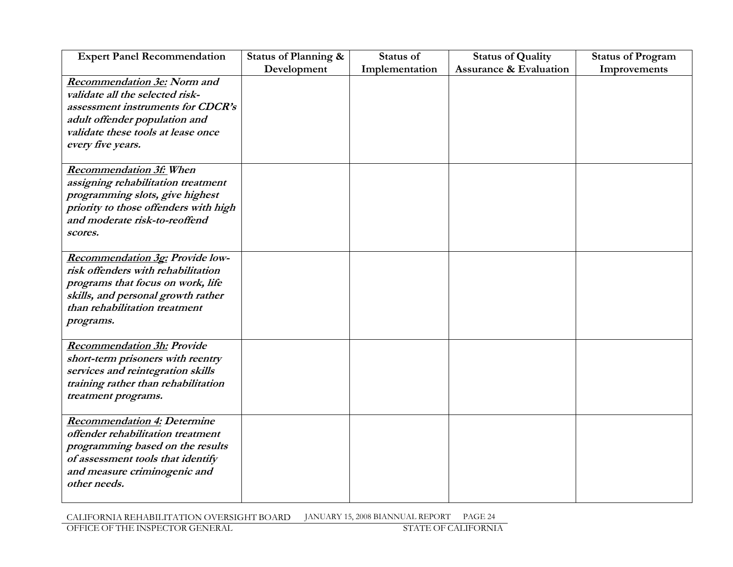| <b>Expert Panel Recommendation</b>     | Status of Planning & | Status of      | <b>Status of Quality</b>          | <b>Status of Program</b> |
|----------------------------------------|----------------------|----------------|-----------------------------------|--------------------------|
|                                        | Development          | Implementation | <b>Assurance &amp; Evaluation</b> | Improvements             |
| <b>Recommendation 3e: Norm and</b>     |                      |                |                                   |                          |
| validate all the selected risk-        |                      |                |                                   |                          |
| assessment instruments for CDCR's      |                      |                |                                   |                          |
| adult offender population and          |                      |                |                                   |                          |
| validate these tools at lease once     |                      |                |                                   |                          |
| every five years.                      |                      |                |                                   |                          |
|                                        |                      |                |                                   |                          |
| <b>Recommendation 3f:</b> When         |                      |                |                                   |                          |
| assigning rehabilitation treatment     |                      |                |                                   |                          |
| programming slots, give highest        |                      |                |                                   |                          |
| priority to those offenders with high  |                      |                |                                   |                          |
| and moderate risk-to-reoffend          |                      |                |                                   |                          |
| scores.                                |                      |                |                                   |                          |
|                                        |                      |                |                                   |                          |
| <b>Recommendation 3g: Provide low-</b> |                      |                |                                   |                          |
| risk offenders with rehabilitation     |                      |                |                                   |                          |
| programs that focus on work, life      |                      |                |                                   |                          |
| skills, and personal growth rather     |                      |                |                                   |                          |
| than rehabilitation treatment          |                      |                |                                   |                          |
| programs.                              |                      |                |                                   |                          |
|                                        |                      |                |                                   |                          |
| <b>Recommendation 3h: Provide</b>      |                      |                |                                   |                          |
| short-term prisoners with reentry      |                      |                |                                   |                          |
| services and reintegration skills      |                      |                |                                   |                          |
| training rather than rehabilitation    |                      |                |                                   |                          |
| treatment programs.                    |                      |                |                                   |                          |
|                                        |                      |                |                                   |                          |
| <b>Recommendation 4: Determine</b>     |                      |                |                                   |                          |
| offender rehabilitation treatment      |                      |                |                                   |                          |
| programming based on the results       |                      |                |                                   |                          |
| of assessment tools that identify      |                      |                |                                   |                          |
| and measure criminogenic and           |                      |                |                                   |                          |
| other needs.                           |                      |                |                                   |                          |
|                                        |                      |                |                                   |                          |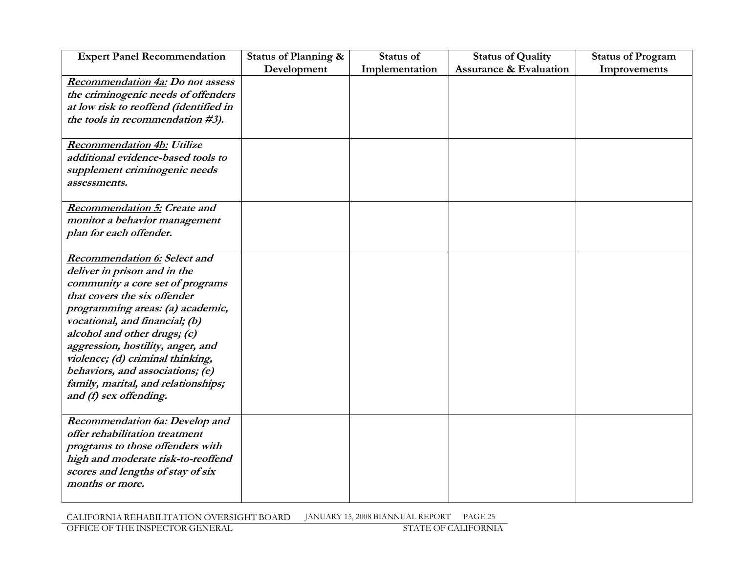| <b>Expert Panel Recommendation</b>                   | Status of Planning & | Status of      | <b>Status of Quality</b>          | <b>Status of Program</b> |
|------------------------------------------------------|----------------------|----------------|-----------------------------------|--------------------------|
|                                                      | Development          | Implementation | <b>Assurance &amp; Evaluation</b> | Improvements             |
| <b>Recommendation 4a: Do not assess</b>              |                      |                |                                   |                          |
| the criminogenic needs of offenders                  |                      |                |                                   |                          |
| at low risk to reoffend (identified in               |                      |                |                                   |                          |
| the tools in recommendation #3).                     |                      |                |                                   |                          |
|                                                      |                      |                |                                   |                          |
| <b>Recommendation 4b: Utilize</b>                    |                      |                |                                   |                          |
| additional evidence-based tools to                   |                      |                |                                   |                          |
| supplement criminogenic needs                        |                      |                |                                   |                          |
| <i>assessments.</i>                                  |                      |                |                                   |                          |
|                                                      |                      |                |                                   |                          |
| <b>Recommendation 5: Create and</b>                  |                      |                |                                   |                          |
| monitor a behavior management                        |                      |                |                                   |                          |
| plan for each offender.                              |                      |                |                                   |                          |
|                                                      |                      |                |                                   |                          |
| <b>Recommendation 6: Select and</b>                  |                      |                |                                   |                          |
| deliver in prison and in the                         |                      |                |                                   |                          |
| community a core set of programs                     |                      |                |                                   |                          |
| that covers the six offender                         |                      |                |                                   |                          |
| programming areas: (a) academic,                     |                      |                |                                   |                          |
| vocational, and financial; (b)                       |                      |                |                                   |                          |
| alcohol and other drugs; (c)                         |                      |                |                                   |                          |
| aggression, hostility, anger, and                    |                      |                |                                   |                          |
| violence; (d) criminal thinking,                     |                      |                |                                   |                          |
| behaviors, and associations; (e)                     |                      |                |                                   |                          |
| family, marital, and relationships;                  |                      |                |                                   |                          |
| and (f) sex offending.                               |                      |                |                                   |                          |
|                                                      |                      |                |                                   |                          |
| <b>Recommendation 6a: Develop and</b>                |                      |                |                                   |                          |
| offer rehabilitation treatment                       |                      |                |                                   |                          |
| programs to those offenders with                     |                      |                |                                   |                          |
| high and moderate risk-to-reoffend                   |                      |                |                                   |                          |
| scores and lengths of stay of six<br>months or more. |                      |                |                                   |                          |
|                                                      |                      |                |                                   |                          |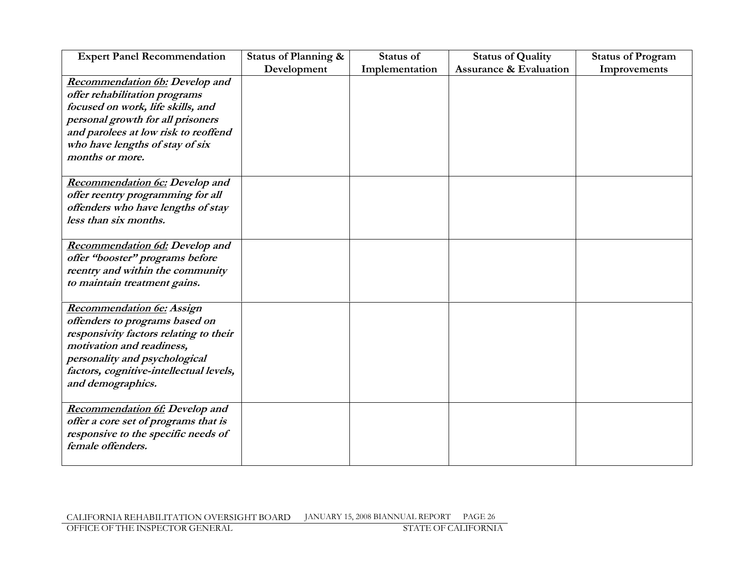| <b>Expert Panel Recommendation</b>      | Status of Planning & | <b>Status of</b> | <b>Status of Quality</b>          | <b>Status of Program</b> |
|-----------------------------------------|----------------------|------------------|-----------------------------------|--------------------------|
|                                         | Development          | Implementation   | <b>Assurance &amp; Evaluation</b> | Improvements             |
| <b>Recommendation 6b: Develop and</b>   |                      |                  |                                   |                          |
| offer rehabilitation programs           |                      |                  |                                   |                          |
| focused on work, life skills, and       |                      |                  |                                   |                          |
| personal growth for all prisoners       |                      |                  |                                   |                          |
| and parolees at low risk to reoffend    |                      |                  |                                   |                          |
| who have lengths of stay of six         |                      |                  |                                   |                          |
| months or more.                         |                      |                  |                                   |                          |
| <b>Recommendation 6c:</b> Develop and   |                      |                  |                                   |                          |
| offer reentry programming for all       |                      |                  |                                   |                          |
| offenders who have lengths of stay      |                      |                  |                                   |                          |
| less than six months.                   |                      |                  |                                   |                          |
| <b>Recommendation 6d: Develop and</b>   |                      |                  |                                   |                          |
| offer "booster" programs before         |                      |                  |                                   |                          |
| reentry and within the community        |                      |                  |                                   |                          |
| to maintain treatment gains.            |                      |                  |                                   |                          |
| <b>Recommendation 6e: Assign</b>        |                      |                  |                                   |                          |
| offenders to programs based on          |                      |                  |                                   |                          |
| responsivity factors relating to their  |                      |                  |                                   |                          |
| motivation and readiness,               |                      |                  |                                   |                          |
| personality and psychological           |                      |                  |                                   |                          |
| factors, cognitive-intellectual levels, |                      |                  |                                   |                          |
| and demographics.                       |                      |                  |                                   |                          |
| <b>Recommendation 6f:</b> Develop and   |                      |                  |                                   |                          |
| offer a core set of programs that is    |                      |                  |                                   |                          |
| responsive to the specific needs of     |                      |                  |                                   |                          |
| female offenders.                       |                      |                  |                                   |                          |
|                                         |                      |                  |                                   |                          |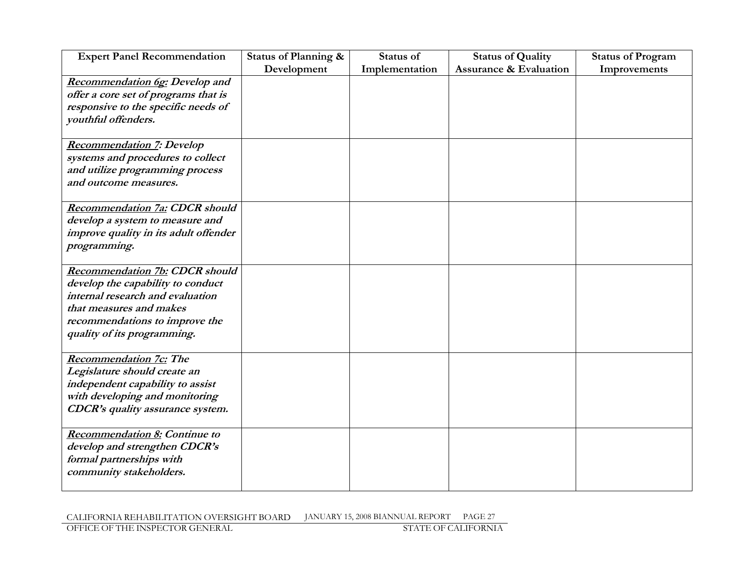| <b>Expert Panel Recommendation</b>                                                                                                                                                                         | Status of Planning & | Status of      | <b>Status of Quality</b>          | <b>Status of Program</b> |
|------------------------------------------------------------------------------------------------------------------------------------------------------------------------------------------------------------|----------------------|----------------|-----------------------------------|--------------------------|
|                                                                                                                                                                                                            | Development          | Implementation | <b>Assurance &amp; Evaluation</b> | Improvements             |
| <b>Recommendation 6g:</b> Develop and<br>offer a core set of programs that is<br>responsive to the specific needs of<br>youthful offenders.                                                                |                      |                |                                   |                          |
| <b>Recommendation 7: Develop</b><br>systems and procedures to collect<br>and utilize programming process<br>and outcome measures.                                                                          |                      |                |                                   |                          |
| <b>Recommendation 7a: CDCR should</b><br>develop a system to measure and<br>improve quality in its adult offender<br>programming.                                                                          |                      |                |                                   |                          |
| <b>Recommendation 7b: CDCR should</b><br>develop the capability to conduct<br>internal research and evaluation<br>that measures and makes<br>recommendations to improve the<br>quality of its programming. |                      |                |                                   |                          |
| <b>Recommendation 7c: The</b><br>Legislature should create an<br>independent capability to assist<br>with developing and monitoring<br><b>CDCR's quality assurance system.</b>                             |                      |                |                                   |                          |
| <b>Recommendation 8: Continue to</b><br>develop and strengthen CDCR's<br>formal partnerships with<br>community stakeholders.                                                                               |                      |                |                                   |                          |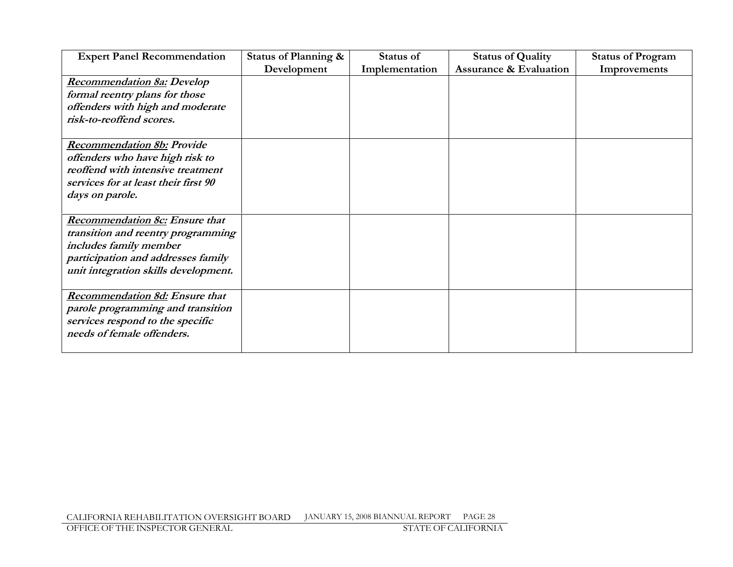| <b>Expert Panel Recommendation</b>    | Status of Planning & | Status of      | <b>Status of Quality</b>          | <b>Status of Program</b> |
|---------------------------------------|----------------------|----------------|-----------------------------------|--------------------------|
|                                       | Development          | Implementation | <b>Assurance &amp; Evaluation</b> | Improvements             |
| Recommendation 8a: Develop            |                      |                |                                   |                          |
| formal reentry plans for those        |                      |                |                                   |                          |
| offenders with high and moderate      |                      |                |                                   |                          |
| risk-to-reoffend scores.              |                      |                |                                   |                          |
|                                       |                      |                |                                   |                          |
| <b>Recommendation 8b: Provide</b>     |                      |                |                                   |                          |
| offenders who have high risk to       |                      |                |                                   |                          |
| reoffend with intensive treatment     |                      |                |                                   |                          |
| services for at least their first 90  |                      |                |                                   |                          |
| days on parole.                       |                      |                |                                   |                          |
|                                       |                      |                |                                   |                          |
| <b>Recommendation 8c: Ensure that</b> |                      |                |                                   |                          |
| transition and reentry programming    |                      |                |                                   |                          |
| includes family member                |                      |                |                                   |                          |
| participation and addresses family    |                      |                |                                   |                          |
| unit integration skills development.  |                      |                |                                   |                          |
|                                       |                      |                |                                   |                          |
| <b>Recommendation 8d: Ensure that</b> |                      |                |                                   |                          |
| parole programming and transition     |                      |                |                                   |                          |
| services respond to the specific      |                      |                |                                   |                          |
| needs of female offenders.            |                      |                |                                   |                          |
|                                       |                      |                |                                   |                          |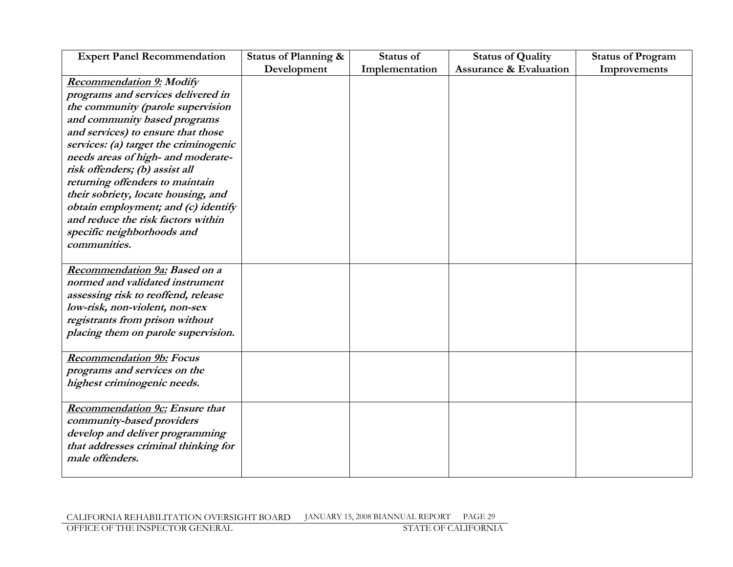| <b>Expert Panel Recommendation</b>                                                                                                                                                                                                                                                                                                                                                                                                                                                                     | Status of Planning & | Status of      | <b>Status of Quality</b>          | <b>Status of Program</b> |
|--------------------------------------------------------------------------------------------------------------------------------------------------------------------------------------------------------------------------------------------------------------------------------------------------------------------------------------------------------------------------------------------------------------------------------------------------------------------------------------------------------|----------------------|----------------|-----------------------------------|--------------------------|
|                                                                                                                                                                                                                                                                                                                                                                                                                                                                                                        | Development          | Implementation | <b>Assurance &amp; Evaluation</b> | Improvements             |
| <b>Recommendation 9: Modify</b><br>programs and services delivered in<br>the community (parole supervision<br>and community based programs<br>and services) to ensure that those<br>services: (a) target the criminogenic<br>needs areas of high- and moderate-<br>risk offenders; (b) assist all<br>returning offenders to maintain<br>their sobriety, locate housing, and<br>obtain employment; and (c) identify<br>and reduce the risk factors within<br>specific neighborhoods and<br>communities. |                      |                |                                   |                          |
| Recommendation 9a: Based on a<br>normed and validated instrument<br>assessing risk to reoffend, release<br>low-risk, non-violent, non-sex<br>registrants from prison without<br>placing them on parole supervision.                                                                                                                                                                                                                                                                                    |                      |                |                                   |                          |
| <b>Recommendation 9b:</b> Focus<br>programs and services on the<br>highest criminogenic needs.                                                                                                                                                                                                                                                                                                                                                                                                         |                      |                |                                   |                          |
| <b>Recommendation 9c:</b> Ensure that<br>community-based providers<br>develop and deliver programming<br>that addresses criminal thinking for<br>male offenders.                                                                                                                                                                                                                                                                                                                                       |                      |                |                                   |                          |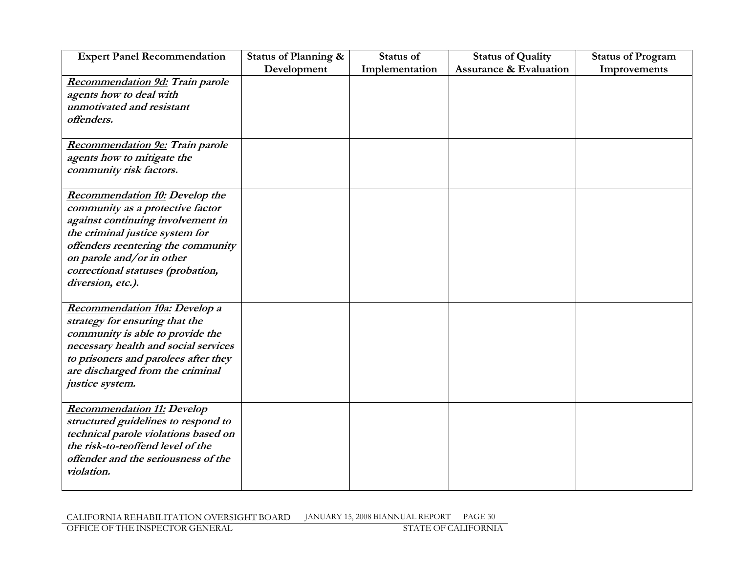| <b>Expert Panel Recommendation</b>    | Status of Planning & | Status of      | <b>Status of Quality</b>          | <b>Status of Program</b> |
|---------------------------------------|----------------------|----------------|-----------------------------------|--------------------------|
|                                       | Development          | Implementation | <b>Assurance &amp; Evaluation</b> | Improvements             |
| Recommendation 9d: Train parole       |                      |                |                                   |                          |
| agents how to deal with               |                      |                |                                   |                          |
| unmotivated and resistant             |                      |                |                                   |                          |
| offenders.                            |                      |                |                                   |                          |
|                                       |                      |                |                                   |                          |
| Recommendation 9e: Train parole       |                      |                |                                   |                          |
| agents how to mitigate the            |                      |                |                                   |                          |
| community risk factors.               |                      |                |                                   |                          |
|                                       |                      |                |                                   |                          |
| <b>Recommendation 10: Develop the</b> |                      |                |                                   |                          |
| community as a protective factor      |                      |                |                                   |                          |
| against continuing involvement in     |                      |                |                                   |                          |
| the criminal justice system for       |                      |                |                                   |                          |
| offenders reentering the community    |                      |                |                                   |                          |
| on parole and/or in other             |                      |                |                                   |                          |
| correctional statuses (probation,     |                      |                |                                   |                          |
| diversion, etc.).                     |                      |                |                                   |                          |
|                                       |                      |                |                                   |                          |
| Recommendation 10a: Develop a         |                      |                |                                   |                          |
| strategy for ensuring that the        |                      |                |                                   |                          |
| community is able to provide the      |                      |                |                                   |                          |
| necessary health and social services  |                      |                |                                   |                          |
| to prisoners and parolees after they  |                      |                |                                   |                          |
| are discharged from the criminal      |                      |                |                                   |                          |
| justice system.                       |                      |                |                                   |                          |
|                                       |                      |                |                                   |                          |
| <b>Recommendation 11: Develop</b>     |                      |                |                                   |                          |
| structured guidelines to respond to   |                      |                |                                   |                          |
| technical parole violations based on  |                      |                |                                   |                          |
| the risk-to-reoffend level of the     |                      |                |                                   |                          |
| offender and the seriousness of the   |                      |                |                                   |                          |
| violation.                            |                      |                |                                   |                          |
|                                       |                      |                |                                   |                          |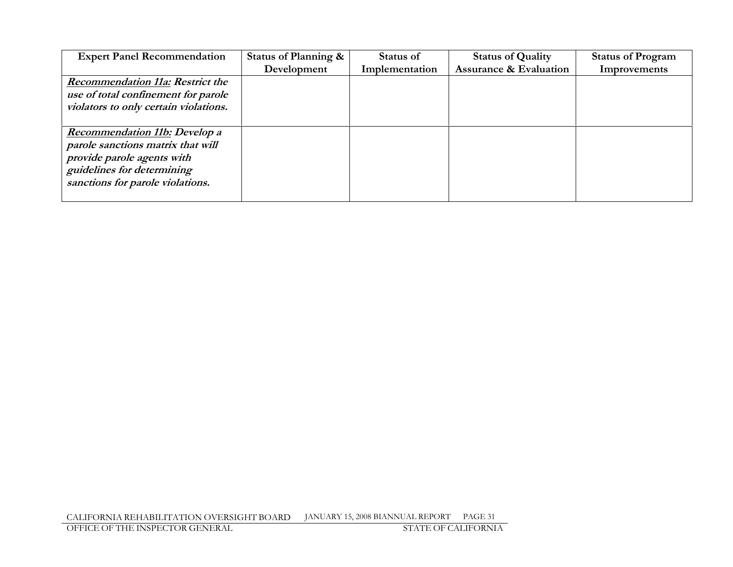| <b>Expert Panel Recommendation</b>      | Status of Planning & | Status of      | <b>Status of Quality</b>          | <b>Status of Program</b> |
|-----------------------------------------|----------------------|----------------|-----------------------------------|--------------------------|
|                                         | Development          | Implementation | <b>Assurance &amp; Evaluation</b> | Improvements             |
| <b>Recommendation 11a: Restrict the</b> |                      |                |                                   |                          |
| use of total confinement for parole     |                      |                |                                   |                          |
| violators to only certain violations.   |                      |                |                                   |                          |
|                                         |                      |                |                                   |                          |
| <b>Recommendation 11b:</b> Develop a    |                      |                |                                   |                          |
| parole sanctions matrix that will       |                      |                |                                   |                          |
| provide parole agents with              |                      |                |                                   |                          |
| guidelines for determining              |                      |                |                                   |                          |
| sanctions for parole violations.        |                      |                |                                   |                          |
|                                         |                      |                |                                   |                          |